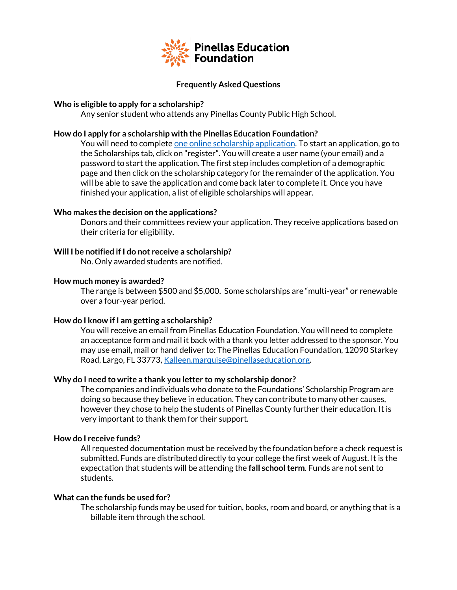

# **Frequently Asked Questions**

# **Who is eligible to apply for a scholarship?**

Any senior student who attends any Pinellas County Public High School.

# **How do I apply for a scholarship with the Pinellas Education Foundation?**

You will need to complet[e one online scholarship application.](https://pinellaseducation.awardspring.com/) To start an application, go to the Scholarships tab, click on "register". You will create a user name (your email) and a password to start the application. The first step includes completion of a demographic page and then click on the scholarship category for the remainder of the application. You will be able to save the application and come back later to complete it. Once you have finished your application, a list of eligible scholarships will appear.

# **Who makes the decision on the applications?**

Donors and their committees review your application. They receive applications based on their criteria for eligibility.

# **Will I be notified if I do not receive a scholarship?**

No. Only awarded students are notified.

# **How much money is awarded?**

The range is between \$500 and \$5,000. Some scholarships are "multi-year" or renewable over a four-year period.

# **How do I know if I am getting a scholarship?**

You will receive an email from Pinellas Education Foundation. You will need to complete an acceptance form and mail it back with a thank you letter addressed to the sponsor. You may use email, mail or hand deliver to: The Pinellas Education Foundation, 12090 Starkey Road, Largo, FL 33773[, Kalleen.marquise@pinellaseducation.org.](mailto:Kalleen.marquise@pinellaseducation.org)

# **Why do I need to write a thank you letter to my scholarship donor?**

The companies and individuals who donate to the Foundations' Scholarship Program are doing so because they believe in education. They can contribute to many other causes, however they chose to help the students of Pinellas County further their education. It is very important to thank them for their support.

# **How do I receive funds?**

All requested documentation must be received by the foundation before a check request is submitted. Funds are distributed directly to your college the first week of August. It is the expectation that students will be attending the **fall school term**. Funds are not sent to students.

# **What can the funds be used for?**

The scholarship funds may be used for tuition, books, room and board, or anything that is a billable item through the school.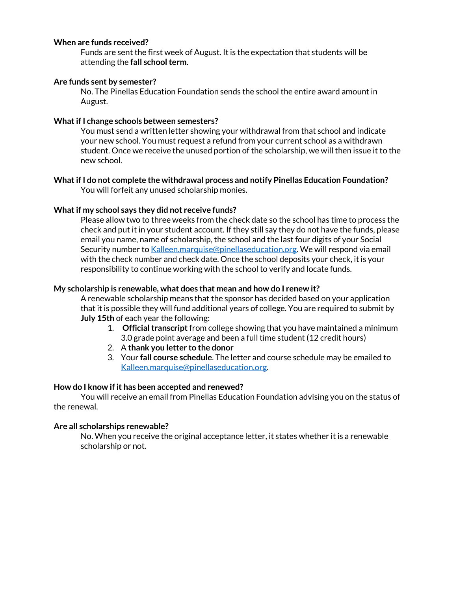# **When are funds received?**

Funds are sent the first week of August. It is the expectation that students will be attending the **fall school term**.

# **Are funds sent by semester?**

No. The Pinellas Education Foundation sends the school the entire award amount in August.

# **What if I change schools between semesters?**

You must send a written letter showing your withdrawal from that school and indicate your new school. You must request a refund from your current school as a withdrawn student. Once we receive the unused portion of the scholarship, we will then issue it to the new school.

# **What if I do not complete the withdrawal process and notify Pinellas Education Foundation?**  You will forfeit any unused scholarship monies.

# **What if my school says they did not receive funds?**

Please allow two to three weeks from the check date so the school has time to process the check and put it in your student account. If they still say they do not have the funds, please email you name, name of scholarship, the school and the last four digits of your Social Security number t[o Kalleen.marquise@pinellaseducation.org.](mailto:Kalleen.marquise@pinellaseducation.org) We will respond via email with the check number and check date. Once the school deposits your check, it is your responsibility to continue working with the school to verify and locate funds.

# **My scholarship is renewable, what does that mean and how do I renew it?**

A renewable scholarship means that the sponsor has decided based on your application that it is possible they will fund additional years of college. You are required to submit by **July 15th** of each year the following:

- 1. **Official transcript** from college showing that you have maintained a minimum 3.0 grade point average and been a full time student (12 credit hours)
- 2. A **thank you letter to the donor**
- 3. Your **fall course schedule**. The letter and course schedule may be emailed to [Kalleen.marquise@pinellaseducation.org.](mailto:mailtoKalleen.marquise@pinellaseducation.org)

# **How do I know if it has been accepted and renewed?**

You will receive an email from Pinellas Education Foundation advising you on the status of the renewal.

# **Are all scholarships renewable?**

No. When you receive the original acceptance letter, it states whether it is a renewable scholarship or not.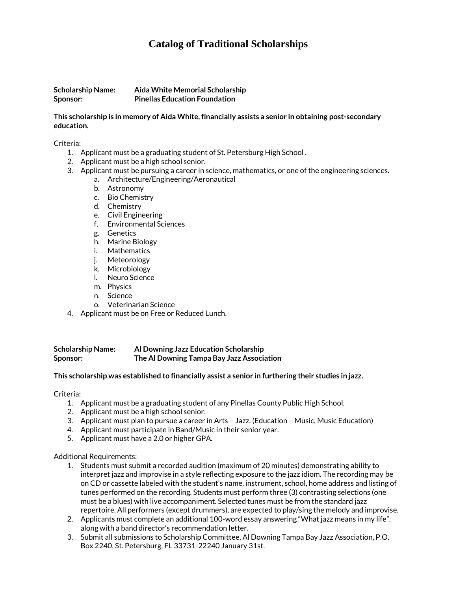# **Catalog of Traditional Scholarships**

**Scholarship Name: Aida White Memorial Scholarship Sponsor: Pinellas Education Foundation**

## **This scholarship is in memory of Aida White, financially assists a senior in obtaining post-secondary education.**

Criteria:

- 1. Applicant must be a graduating student of St. Petersburg High School .
- 2. Applicant must be a high school senior.
- 3. Applicant must be pursuing a career in science, mathematics, or one of the engineering sciences.
	- a. Architecture/Engineering/Aeronautical
		- b. Astronomy
		- c. Bio Chemistry
		- d. Chemistry
		- e. Civil Engineering
		- f. Environmental Sciences
		- g. Genetics
		- h. Marine Biology
		- i. Mathematics
		- j. Meteorology
		- k. Microbiology
		- l. Neuro Science
		- m. Physics
		- n. Science
		- o. Veterinarian Science
- 4. Applicant must be on Free or Reduced Lunch.

**Scholarship Name: Al Downing Jazz Education Scholarship Sponsor: The Al Downing Tampa Bay Jazz Association**

#### **This scholarship was established to financially assist a senior in furthering their studies in jazz.**

Criteria:

- 1. Applicant must be a graduating student of any Pinellas County Public High School.
- 2. Applicant must be a high school senior.
- 3. Applicant must plan to pursue a career in Arts Jazz. (Education Music, Music Education)
- 4. Applicant must participate in Band/Music in their senior year.
- 5. Applicant must have a 2.0 or higher GPA.

#### Additional Requirements:

- 1. Students must submit a recorded audition (maximum of 20 minutes) demonstrating ability to interpret jazz and improvise in a style reflecting exposure to the jazz idiom. The recording may be on CD or cassette labeled with the student's name, instrument, school, home address and listing of tunes performed on the recording. Students must perform three (3) contrasting selections (one must be a blues) with live accompaniment. Selected tunes must be from the standard jazz repertoire. All performers (except drummers), are expected to play/sing the melody and improvise.
- 2. Applicants must complete an additional 100-word essay answering "What jazz means in my life", along with a band director's recommendation letter.
- 3. Submit all submissions to Scholarship Committee, Al Downing Tampa Bay Jazz Association, P.O. Box 2240, St. Petersburg, FL 33731-22240 January 31st.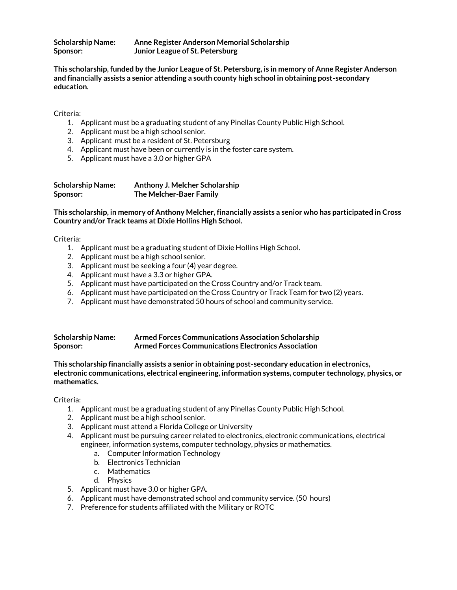| <b>Scholarship Name:</b> | Anne Register Anderson Memorial Scholarship |
|--------------------------|---------------------------------------------|
| Sponsor:                 | Junior League of St. Petersburg             |

**This scholarship, funded by the Junior League of St. Petersburg, is in memory of Anne Register Anderson and financially assists a senior attending a south county high school in obtaining post-secondary education.**

Criteria:

- 1. Applicant must be a graduating student of any Pinellas County Public High School.
- 2. Applicant must be a high school senior.
- 3. Applicant must be a resident of St. Petersburg
- 4. Applicant must have been or currently is in the foster care system.
- 5. Applicant must have a 3.0 or higher GPA

| <b>Scholarship Name:</b> | Anthony J. Melcher Scholarship |
|--------------------------|--------------------------------|
| Sponsor:                 | The Melcher-Baer Family        |

**This scholarship, in memory of Anthony Melcher, financially assists a senior who has participated in Cross Country and/or Track teams at Dixie Hollins High School.**

Criteria:

- 1. Applicant must be a graduating student of Dixie Hollins High School.
- 2. Applicant must be a high school senior.
- 3. Applicant must be seeking a four (4) year degree.
- 4. Applicant must have a 3.3 or higher GPA.
- 5. Applicant must have participated on the Cross Country and/or Track team.
- 6. Applicant must have participated on the Cross Country or Track Team for two (2) years.
- 7. Applicant must have demonstrated 50 hours of school and community service.

| <b>Scholarship Name:</b> | <b>Armed Forces Communications Association Scholarship</b> |
|--------------------------|------------------------------------------------------------|
| Sponsor:                 | Armed Forces Communications Electronics Association        |

**This scholarship financially assists a senior in obtaining post-secondary education in electronics, electronic communications, electrical engineering, information systems, computer technology, physics, or mathematics.** 

- 1. Applicant must be a graduating student of any Pinellas County Public High School.
- 2. Applicant must be a high school senior.
- 3. Applicant must attend a Florida College or University
- 4. Applicant must be pursuing career related to electronics, electronic communications, electrical engineer, information systems, computer technology, physics or mathematics.
	- a. Computer Information Technology
	- b. Electronics Technician
	- c. Mathematics
	- d. Physics
- 5. Applicant must have 3.0 or higher GPA.
- 6. Applicant must have demonstrated school and community service. (50 hours)
- 7. Preference for students affiliated with the Military or ROTC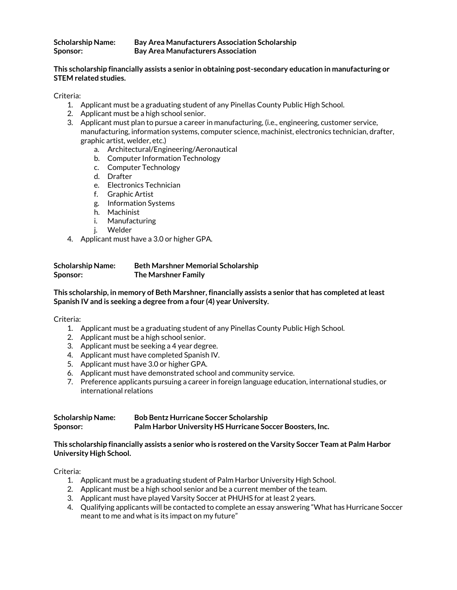## **Scholarship Name: Bay Area Manufacturers Association Scholarship Sponsor: Bay Area Manufacturers Association**

# **This scholarship financially assists a senior in obtaining post-secondary education in manufacturing or STEM related studies.**

Criteria:

- 1. Applicant must be a graduating student of any Pinellas County Public High School.
- 2. Applicant must be a high school senior.
- 3. Applicant must plan to pursue a career in manufacturing, (i.e., engineering, customer service, manufacturing, information systems, computer science, machinist, electronics technician, drafter, graphic artist, welder, etc.)
	- a. Architectural/Engineering/Aeronautical
	- b. Computer Information Technology
	- c. Computer Technology
	- d. Drafter
	- e. Electronics Technician
	- f. Graphic Artist
	- g. Information Systems
	- h. Machinist
	- i. Manufacturing
	- j. Welder
- 4. Applicant must have a 3.0 or higher GPA.

| <b>Scholarship Name:</b> | <b>Beth Marshner Memorial Scholarship</b> |
|--------------------------|-------------------------------------------|
| Sponsor:                 | <b>The Marshner Family</b>                |

# **This scholarship, in memory of Beth Marshner, financially assists a senior that has completed at least Spanish IV and is seeking a degree from a four (4) year University.**

Criteria:

- 1. Applicant must be a graduating student of any Pinellas County Public High School.
- 2. Applicant must be a high school senior.
- 3. Applicant must be seeking a 4 year degree.
- 4. Applicant must have completed Spanish IV.
- 5. Applicant must have 3.0 or higher GPA.
- 6. Applicant must have demonstrated school and community service.
- 7. Preference applicants pursuing a career in foreign language education, international studies, or international relations

| <b>Scholarship Name:</b> | <b>Bob Bentz Hurricane Soccer Scholarship</b>             |
|--------------------------|-----------------------------------------------------------|
| Sponsor:                 | Palm Harbor University HS Hurricane Soccer Boosters, Inc. |

# **This scholarship financially assists a senior who is rostered on the Varsity Soccer Team at Palm Harbor University High School.**

- 1. Applicant must be a graduating student of Palm Harbor University High School.
- 2. Applicant must be a high school senior and be a current member of the team.
- 3. Applicant must have played Varsity Soccer at PHUHS for at least 2 years.
- 4. Qualifying applicants will be contacted to complete an essay answering "What has Hurricane Soccer meant to me and what is its impact on my future"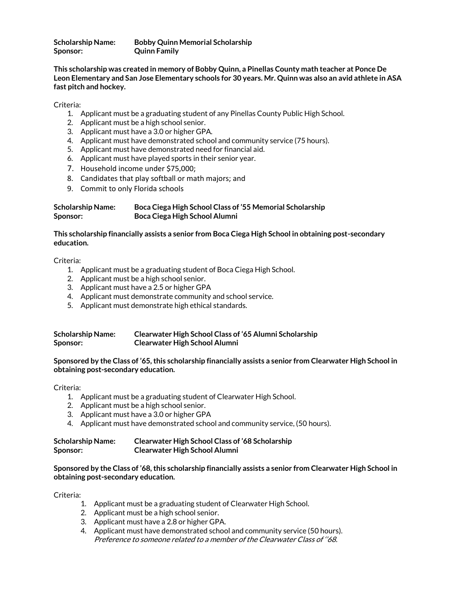**Scholarship Name: Bobby Quinn Memorial Scholarship Sponsor: Quinn Family**

**This scholarship was created in memory of Bobby Quinn, a Pinellas County math teacher at Ponce De Leon Elementary and San Jose Elementary schools for 30 years. Mr. Quinn was also an avid athlete in ASA fast pitch and hockey.** 

Criteria:

- 1. Applicant must be a graduating student of any Pinellas County Public High School.
- 2. Applicant must be a high school senior.
- 3. Applicant must have a 3.0 or higher GPA.
- 4. Applicant must have demonstrated school and community service (75 hours).
- 5. Applicant must have demonstrated need for financial aid.
- 6. Applicant must have played sports in their senior year.
- 7. Household income under \$75,000;
- 8. Candidates that play softball or math majors; and
- 9. Commit to only Florida schools

# **Scholarship Name: Boca Ciega High School Class of '55 Memorial Scholarship Sponsor: Boca Ciega High School Alumni**

# **This scholarship financially assists a senior from Boca Ciega High School in obtaining post-secondary education.**

Criteria:

- 1. Applicant must be a graduating student of Boca Ciega High School.
- 2. Applicant must be a high school senior.
- 3. Applicant must have a 2.5 or higher GPA
- 4. Applicant must demonstrate community and school service.
- 5. Applicant must demonstrate high ethical standards.

| <b>Scholarship Name:</b> | Clearwater High School Class of '65 Alumni Scholarship |
|--------------------------|--------------------------------------------------------|
| Sponsor:                 | <b>Clearwater High School Alumni</b>                   |

**Sponsored by the Class of '65, this scholarship financially assists a senior from Clearwater High School in obtaining post-secondary education.**

Criteria:

- 1. Applicant must be a graduating student of Clearwater High School.
- 2. Applicant must be a high school senior.
- 3. Applicant must have a 3.0 or higher GPA
- 4. Applicant must have demonstrated school and community service, (50 hours).

| <b>Scholarship Name:</b> | <b>Clearwater High School Class of '68 Scholarship</b> |
|--------------------------|--------------------------------------------------------|
| Sponsor:                 | <b>Clearwater High School Alumni</b>                   |

**Sponsored by the Class of '68, this scholarship financially assists a senior from Clearwater High School in obtaining post-secondary education.**

- 1. Applicant must be a graduating student of Clearwater High School.
- 2. Applicant must be a high school senior.
- 3. Applicant must have a 2.8 or higher GPA.
- 4. Applicant must have demonstrated school and community service (50 hours). Preference to someone related to a member of the Clearwater Class of ''68.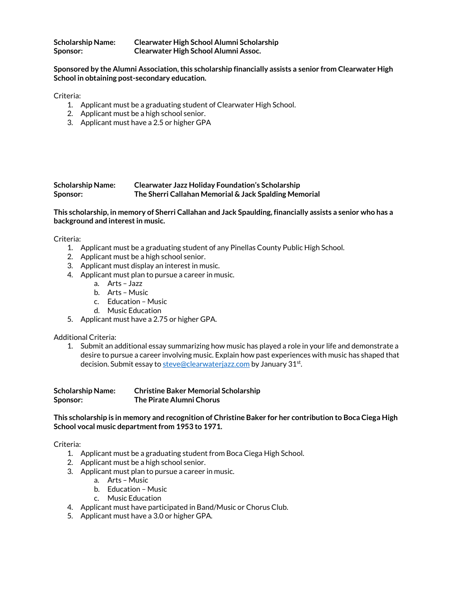| <b>Scholarship Name:</b> | Clearwater High School Alumni Scholarship |
|--------------------------|-------------------------------------------|
| Sponsor:                 | Clearwater High School Alumni Assoc.      |

**Sponsored by the Alumni Association, this scholarship financially assists a senior from Clearwater High School in obtaining post-secondary education.**

Criteria:

- 1. Applicant must be a graduating student of Clearwater High School.
- 2. Applicant must be a high school senior.
- 3. Applicant must have a 2.5 or higher GPA

#### **Scholarship Name: Clearwater Jazz Holiday Foundation's Scholarship Sponsor: The Sherri Callahan Memorial & Jack Spalding Memorial**

**This scholarship, in memory of Sherri Callahan and Jack Spaulding, financially assists a senior who has a background and interest in music.**

Criteria:

- 1. Applicant must be a graduating student of any Pinellas County Public High School.
- 2. Applicant must be a high school senior.
- 3. Applicant must display an interest in music.
- 4. Applicant must plan to pursue a career in music.
	- a. Arts Jazz
	- b. Arts Music
	- c. Education Music
	- d. Music Education
- 5. Applicant must have a 2.75 or higher GPA.

#### Additional Criteria:

1. Submit an additional essay summarizing how music has played a role in your life and demonstrate a desire to pursue a career involving music. Explain how past experiences with music has shaped that decision. Submit essay t[o steve@clearwaterjazz.com](mailto:steve@clearwaterjazz.com) by January 31st.

| <b>Scholarship Name:</b> | <b>Christine Baker Memorial Scholarship</b> |
|--------------------------|---------------------------------------------|
| Sponsor:                 | The Pirate Alumni Chorus                    |

**This scholarship is in memory and recognition of Christine Baker for her contribution to Boca Ciega High School vocal music department from 1953 to 1971.**

- 1. Applicant must be a graduating student from Boca Ciega High School.
- 2. Applicant must be a high school senior.
- 3. Applicant must plan to pursue a career in music.
	- a. Arts Music
	- b. Education Music
	- c. Music Education
- 4. Applicant must have participated in Band/Music or Chorus Club.
- 5. Applicant must have a 3.0 or higher GPA.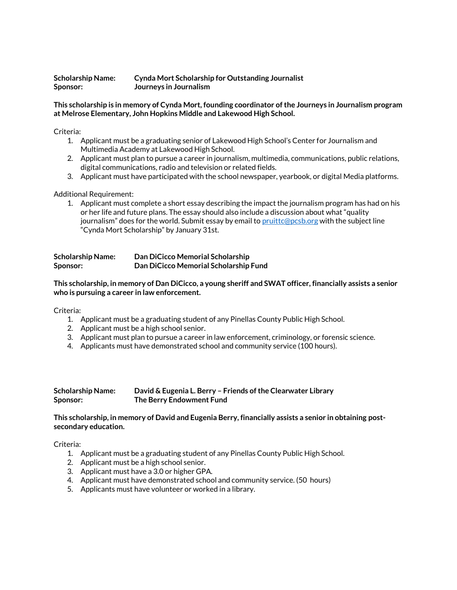#### **Scholarship Name: Cynda Mort Scholarship for Outstanding Journalist Sponsor: Journeys in Journalism**

## **This scholarship is in memory of Cynda Mort, founding coordinator of the Journeys in Journalism program at Melrose Elementary, John Hopkins Middle and Lakewood High School.**

Criteria:

- 1. Applicant must be a graduating senior of Lakewood High School's Center for Journalism and Multimedia Academy at Lakewood High School.
- 2. Applicant must plan to pursue a career in journalism, multimedia, communications, public relations, digital communications, radio and television or related fields.
- 3. Applicant must have participated with the school newspaper, yearbook, or digital Media platforms.

# Additional Requirement:

1. Applicant must complete a short essay describing the impact the journalism program has had on his or her life and future plans. The essay should also include a discussion about what "quality journalism" does for the world. Submit essay by email to [pruittc@pcsb.org](mailto:pruittc@pcsb.org) with the subject line "Cynda Mort Scholarship" by January 31st.

| <b>Scholarship Name:</b> | Dan DiCicco Memorial Scholarship      |
|--------------------------|---------------------------------------|
| Sponsor:                 | Dan DiCicco Memorial Scholarship Fund |

**This scholarship, in memory of Dan DiCicco, a young sheriff and SWAT officer, financially assists a senior who is pursuing a career in law enforcement.** 

Criteria:

- 1. Applicant must be a graduating student of any Pinellas County Public High School.
- 2. Applicant must be a high school senior.
- 3. Applicant must plan to pursue a career in law enforcement, criminology, or forensic science.
- 4. Applicants must have demonstrated school and community service (100 hours).

#### **Scholarship Name: David & Eugenia L. Berry – Friends of the Clearwater Library Sponsor: The Berry Endowment Fund**

# **This scholarship, in memory of David and Eugenia Berry, financially assists a senior in obtaining postsecondary education.**

- 1. Applicant must be a graduating student of any Pinellas County Public High School.
- 2. Applicant must be a high school senior.
- 3. Applicant must have a 3.0 or higher GPA.
- 4. Applicant must have demonstrated school and community service. (50 hours)
- 5. Applicants must have volunteer or worked in a library.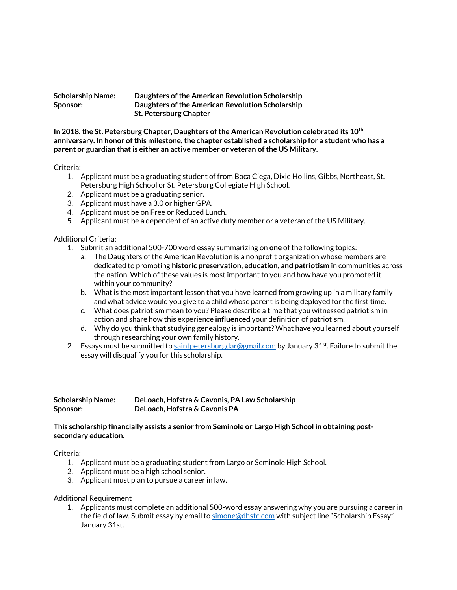| <b>Scholarship Name:</b> | Daughters of the American Revolution Scholarship |
|--------------------------|--------------------------------------------------|
| Sponsor:                 | Daughters of the American Revolution Scholarship |
|                          | <b>St. Petersburg Chapter</b>                    |

**In 2018, the St. Petersburg Chapter, Daughters of the American Revolution celebrated its 10th anniversary. In honor of this milestone, the chapter established a scholarship for a student who has a parent or guardian that is either an active member or veteran of the US Military.** 

#### Criteria:

- 1. Applicant must be a graduating student of from Boca Ciega, Dixie Hollins, Gibbs, Northeast, St. Petersburg High School or St. Petersburg Collegiate High School.
- 2. Applicant must be a graduating senior.
- 3. Applicant must have a 3.0 or higher GPA.
- 4. Applicant must be on Free or Reduced Lunch.
- 5. Applicant must be a dependent of an active duty member or a veteran of the US Military.

# Additional Criteria:

- 1. Submit an additional 500-700 word essay summarizing on **one** of the following topics:
	- a. The Daughters of the American Revolution is a nonprofit organization whose members are dedicated to promoting **historic preservation, education, and patriotism** in communities across the nation. Which of these values is most important to you and how have you promoted it within your community?
	- b. What is the most important lesson that you have learned from growing up in a military family and what advice would you give to a child whose parent is being deployed for the first time.
	- c. What does patriotism mean to you? Please describe a time that you witnessed patriotism in action and share how this experience **influenced** your definition of patriotism.
	- d. Why do you think that studying genealogy is important? What have you learned about yourself through researching your own family history.
- 2. Essays must be submitted t[o saintpetersburgdar@gmail.com](mailto:saintpetersburgdar@gmail.com) by January  $31<sup>st</sup>$ . Failure to submit the essay will disqualify you for this scholarship.

**Scholarship Name: DeLoach, Hofstra & Cavonis, PA Law Scholarship Sponsor: DeLoach, Hofstra & Cavonis PA**

# **This scholarship financially assists a senior from Seminole or Largo High School in obtaining postsecondary education.**

#### Criteria:

- 1. Applicant must be a graduating student from Largo or Seminole High School.
- 2. Applicant must be a high school senior.
- 3. Applicant must plan to pursue a career in law.

#### Additional Requirement

1. Applicants must complete an additional 500-word essay answering why you are pursuing a career in the field of law. Submit essay by email t[o simone@dhstc.com](mailto:simone@dhstc.com) with subject line "Scholarship Essay" January 31st.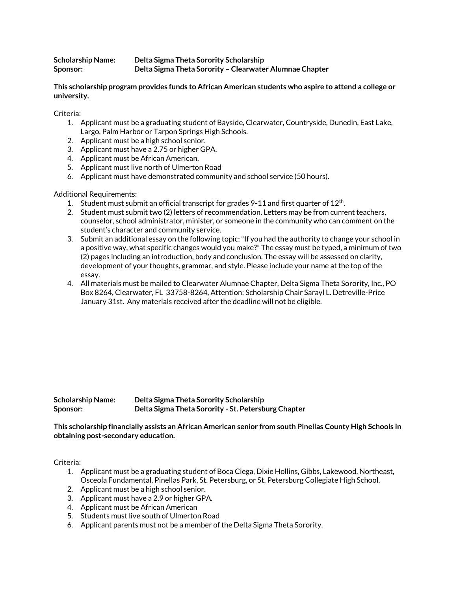| Scholarship Name: | Delta Sigma Theta Sorority Scholarship                  |
|-------------------|---------------------------------------------------------|
| <b>Sponsor:</b>   | Delta Sigma Theta Sorority - Clearwater Alumnae Chapter |

**This scholarship program provides funds to African American students who aspire to attend a college or university.** 

Criteria:

- 1. Applicant must be a graduating student of Bayside, Clearwater, Countryside, Dunedin, East Lake, Largo, Palm Harbor or Tarpon Springs High Schools.
- 2. Applicant must be a high school senior.
- 3. Applicant must have a 2.75 or higher GPA.
- 4. Applicant must be African American.
- 5. Applicant must live north of Ulmerton Road
- 6. Applicant must have demonstrated community and school service (50 hours).

Additional Requirements:

- 1. Student must submit an official transcript for grades 9-11 and first quarter of  $12<sup>th</sup>$ .
- 2. Student must submit two (2) letters of recommendation. Letters may be from current teachers, counselor, school administrator, minister, or someone in the community who can comment on the student's character and community service.
- 3. Submit an additional essay on the following topic: "If you had the authority to change your school in a positive way, what specific changes would you make?" The essay must be typed, a minimum of two (2) pages including an introduction, body and conclusion. The essay will be assessed on clarity, development of your thoughts, grammar, and style. Please include your name at the top of the essay.
- 4. All materials must be mailed to Clearwater Alumnae Chapter, Delta Sigma Theta Sorority, Inc., PO Box 8264, Clearwater, FL 33758-8264, Attention: Scholarship Chair Sarayl L. Detreville-Price January 31st. Any materials received after the deadline will not be eligible.

**Scholarship Name: Delta Sigma Theta Sorority Scholarship Sponsor: Delta Sigma Theta Sorority - St. Petersburg Chapter**

**This scholarship financially assists an African American senior from south Pinellas County High Schools in obtaining post-secondary education.**

- 1. Applicant must be a graduating student of Boca Ciega, Dixie Hollins, Gibbs, Lakewood, Northeast, Osceola Fundamental, Pinellas Park, St. Petersburg, or St. Petersburg Collegiate High School.
- 2. Applicant must be a high school senior.
- 3. Applicant must have a 2.9 or higher GPA.
- 4. Applicant must be African American
- 5. Students must live south of Ulmerton Road
- 6. Applicant parents must not be a member of the Delta Sigma Theta Sorority.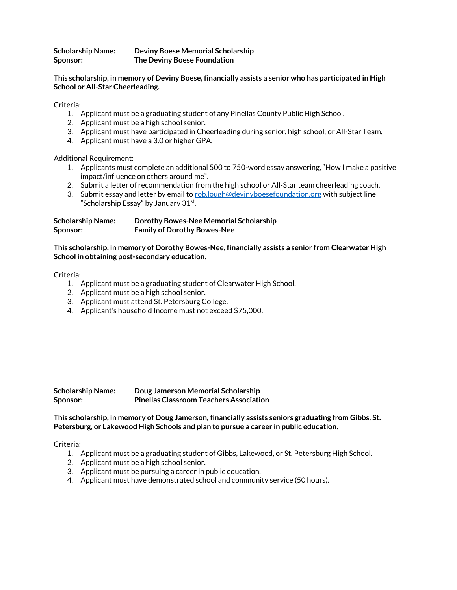**Scholarship Name: Deviny Boese Memorial Scholarship Sponsor: The Deviny Boese Foundation** 

**This scholarship, in memory of Deviny Boese, financially assists a senior who has participated in High School or All-Star Cheerleading.** 

Criteria:

- 1. Applicant must be a graduating student of any Pinellas County Public High School.
- 2. Applicant must be a high school senior.
- 3. Applicant must have participated in Cheerleading during senior, high school, or All-Star Team.
- 4. Applicant must have a 3.0 or higher GPA.

Additional Requirement:

- 1. Applicants must complete an additional 500 to 750-word essay answering, "How I make a positive impact/influence on others around me".
- 2. Submit a letter of recommendation from the high school or All-Star team cheerleading coach.
- 3. Submit essay and letter by email to [rob.lough@devinyboesefoundation.org](mailto:rob.lough@devinyboesefoundation.org) with subject line "Scholarship Essay" by January 31st.

| <b>Scholarship Name:</b> | Dorothy Bowes-Nee Memorial Scholarship |
|--------------------------|----------------------------------------|
| Sponsor:                 | <b>Family of Dorothy Bowes-Nee</b>     |

#### **This scholarship, in memory of Dorothy Bowes-Nee, financially assists a senior from Clearwater High School in obtaining post-secondary education.**

Criteria:

- 1. Applicant must be a graduating student of Clearwater High School.
- 2. Applicant must be a high school senior.
- 3. Applicant must attend St. Petersburg College.
- 4. Applicant's household Income must not exceed \$75,000.

**Scholarship Name: Doug Jamerson Memorial Scholarship Sponsor: Pinellas Classroom Teachers Association**

#### **This scholarship, in memory of Doug Jamerson, financially assists seniors graduating from Gibbs, St. Petersburg, or Lakewood High Schools and plan to pursue a career in public education.**

- 1. Applicant must be a graduating student of Gibbs, Lakewood, or St. Petersburg High School.
- 2. Applicant must be a high school senior.
- 3. Applicant must be pursuing a career in public education.
- 4. Applicant must have demonstrated school and community service (50 hours).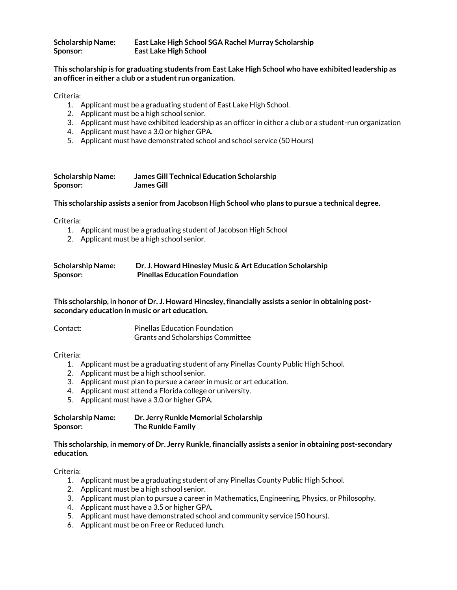| <b>Scholarship Name:</b> | East Lake High School SGA Rachel Murray Scholarship |
|--------------------------|-----------------------------------------------------|
| Sponsor:                 | <b>East Lake High School</b>                        |

## **This scholarship is for graduating students from East Lake High School who have exhibited leadership as an officer in either a club or a student run organization.**

Criteria:

- 1. Applicant must be a graduating student of East Lake High School.
- 2. Applicant must be a high school senior.
- 3. Applicant must have exhibited leadership as an officer in either a club or a student-run organization
- 4. Applicant must have a 3.0 or higher GPA.
- 5. Applicant must have demonstrated school and school service (50 Hours)

| <b>Scholarship Name:</b> | <b>James Gill Technical Education Scholarship</b> |
|--------------------------|---------------------------------------------------|
| Sponsor:                 | <b>James Gill</b>                                 |

#### **This scholarship assists a senior from Jacobson High School who plans to pursue a technical degree.**

Criteria:

- 1. Applicant must be a graduating student of Jacobson High School
- 2. Applicant must be a high school senior.

| <b>Scholarship Name:</b> | Dr. J. Howard Hinesley Music & Art Education Scholarship |
|--------------------------|----------------------------------------------------------|
| Sponsor:                 | <b>Pinellas Education Foundation</b>                     |

**This scholarship, in honor of Dr. J. Howard Hinesley, financially assists a senior in obtaining postsecondary education in music or art education.**

| Contact: | <b>Pinellas Education Foundation</b>     |
|----------|------------------------------------------|
|          | <b>Grants and Scholarships Committee</b> |

#### Criteria:

- 1. Applicant must be a graduating student of any Pinellas County Public High School.
- 2. Applicant must be a high school senior.
- 3. Applicant must plan to pursue a career in music or art education.
- 4. Applicant must attend a Florida college or university.
- 5. Applicant must have a 3.0 or higher GPA.

| <b>Scholarship Name:</b> | Dr. Jerry Runkle Memorial Scholarship |
|--------------------------|---------------------------------------|
| Sponsor:                 | The Runkle Family                     |

#### **This scholarship, in memory of Dr. Jerry Runkle, financially assists a senior in obtaining post-secondary education.**

- 1. Applicant must be a graduating student of any Pinellas County Public High School.
- 2. Applicant must be a high school senior.
- 3. Applicant must plan to pursue a career in Mathematics, Engineering, Physics, or Philosophy.
- 4. Applicant must have a 3.5 or higher GPA.
- 5. Applicant must have demonstrated school and community service (50 hours).
- 6. Applicant must be on Free or Reduced lunch.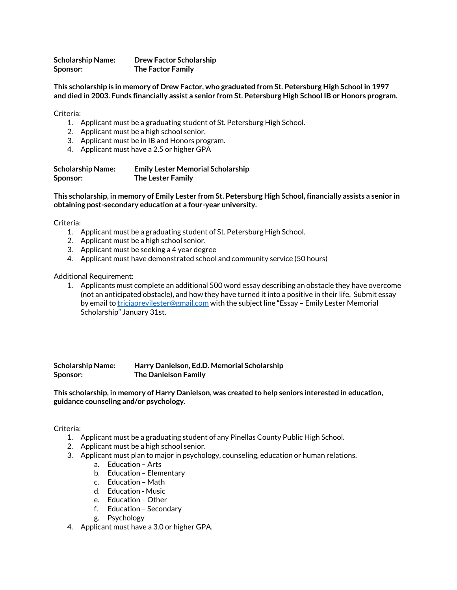**Scholarship Name: Drew Factor Scholarship Sponsor: The Factor Family**

**This scholarship is in memory of Drew Factor, who graduated from St. Petersburg High School in 1997 and died in 2003. Funds financially assist a senior from St. Petersburg High School IB or Honors program.**

Criteria:

- 1. Applicant must be a graduating student of St. Petersburg High School.
- 2. Applicant must be a high school senior.
- 3. Applicant must be in IB and Honors program.
- 4. Applicant must have a 2.5 or higher GPA

| <b>Scholarship Name:</b> | <b>Emily Lester Memorial Scholarship</b> |
|--------------------------|------------------------------------------|
| Sponsor:                 | <b>The Lester Family</b>                 |

**This scholarship, in memory of Emily Lester from St. Petersburg High School, financially assists a senior in obtaining post-secondary education at a four-year university.**

Criteria:

- 1. Applicant must be a graduating student of St. Petersburg High School.
- 2. Applicant must be a high school senior.
- 3. Applicant must be seeking a 4 year degree
- 4. Applicant must have demonstrated school and community service (50 hours)

#### Additional Requirement:

1. Applicants must complete an additional 500 word essay describing an obstacle they have overcome (not an anticipated obstacle), and how they have turned it into a positive in their life. Submit essay by email t[o triciaprevilester@gmail.com](mailto:triciaprevilester@gmail.com) with the subject line "Essay - Emily Lester Memorial Scholarship" January 31st.

**Scholarship Name: Harry Danielson, Ed.D. Memorial Scholarship Sponsor: The Danielson Family**

**This scholarship, in memory of Harry Danielson, was created to help seniors interested in education, guidance counseling and/or psychology.**

- 1. Applicant must be a graduating student of any Pinellas County Public High School.
- 2. Applicant must be a high school senior.
- 3. Applicant must plan to major in psychology, counseling, education or human relations.
	- a. Education Arts
	- b. Education Elementary
	- c. Education Math
	- d. Education Music
	- e. Education Other
	- f. Education Secondary
	- g. Psychology
- 4. Applicant must have a 3.0 or higher GPA.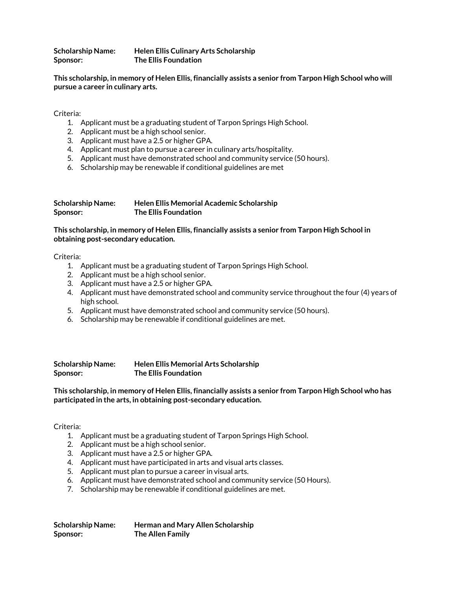**Scholarship Name: Helen Ellis Culinary Arts Scholarship Sponsor: The Ellis Foundation**

**This scholarship, in memory of Helen Ellis, financially assists a senior from Tarpon High School who will pursue a career in culinary arts.** 

Criteria:

- 1. Applicant must be a graduating student of Tarpon Springs High School.
- 2. Applicant must be a high school senior.
- 3. Applicant must have a 2.5 or higher GPA.
- 4. Applicant must plan to pursue a career in culinary arts/hospitality.
- 5. Applicant must have demonstrated school and community service (50 hours).
- 6. Scholarship may be renewable if conditional guidelines are met

| <b>Scholarship Name:</b> | Helen Ellis Memorial Academic Scholarship |
|--------------------------|-------------------------------------------|
| Sponsor:                 | <b>The Ellis Foundation</b>               |

**This scholarship, in memory of Helen Ellis, financially assists a senior from Tarpon High School in obtaining post-secondary education.**

Criteria:

- 1. Applicant must be a graduating student of Tarpon Springs High School.
- 2. Applicant must be a high school senior.
- 3. Applicant must have a 2.5 or higher GPA.
- 4. Applicant must have demonstrated school and community service throughout the four (4) years of high school.
- 5. Applicant must have demonstrated school and community service (50 hours).
- 6. Scholarship may be renewable if conditional guidelines are met.

**Scholarship Name: Helen Ellis Memorial Arts Scholarship Sponsor: The Ellis Foundation**

**This scholarship, in memory of Helen Ellis, financially assists a senior from Tarpon High School who has participated in the arts, in obtaining post-secondary education.**

- 1. Applicant must be a graduating student of Tarpon Springs High School.
- 2. Applicant must be a high school senior.
- 3. Applicant must have a 2.5 or higher GPA.
- 4. Applicant must have participated in arts and visual arts classes.
- 5. Applicant must plan to pursue a career in visual arts.
- 6. Applicant must have demonstrated school and community service (50 Hours).
- 7. Scholarship may be renewable if conditional guidelines are met.

| <b>Scholarship Name:</b> | Herman and Mary Allen Scholarship |
|--------------------------|-----------------------------------|
| Sponsor:                 | The Allen Family                  |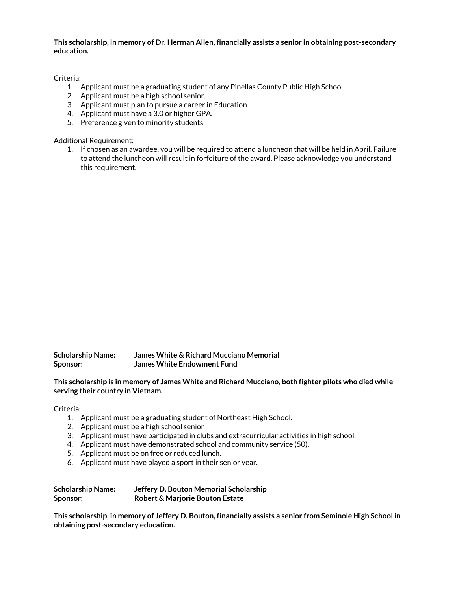**This scholarship, in memory of Dr. Herman Allen, financially assists a senior in obtaining post-secondary education.**

Criteria:

- 1. Applicant must be a graduating student of any Pinellas County Public High School.
- 2. Applicant must be a high school senior.
- 3. Applicant must plan to pursue a career in Education
- 4. Applicant must have a 3.0 or higher GPA.
- 5. Preference given to minority students

Additional Requirement:

1. If chosen as an awardee, you will be required to attend a luncheon that will be held in April. Failure to attend the luncheon will result in forfeiture of the award. Please acknowledge you understand this requirement.

**Scholarship Name: James White & Richard Mucciano Memorial Sponsor: James White Endowment Fund**

**This scholarship is in memory of James White and Richard Mucciano, both fighter pilots who died while serving their country in Vietnam.** 

Criteria:

- 1. Applicant must be a graduating student of Northeast High School.
- 2. Applicant must be a high school senior
- 3. Applicant must have participated in clubs and extracurricular activities in high school.
- 4. Applicant must have demonstrated school and community service (50).
- 5. Applicant must be on free or reduced lunch.
- 6. Applicant must have played a sport in their senior year.

| <b>Scholarship Name:</b> | Jeffery D. Bouton Memorial Scholarship     |
|--------------------------|--------------------------------------------|
| Sponsor:                 | <b>Robert &amp; Marjorie Bouton Estate</b> |

**This scholarship, in memory of Jeffery D. Bouton, financially assists a senior from Seminole High School in obtaining post-secondary education.**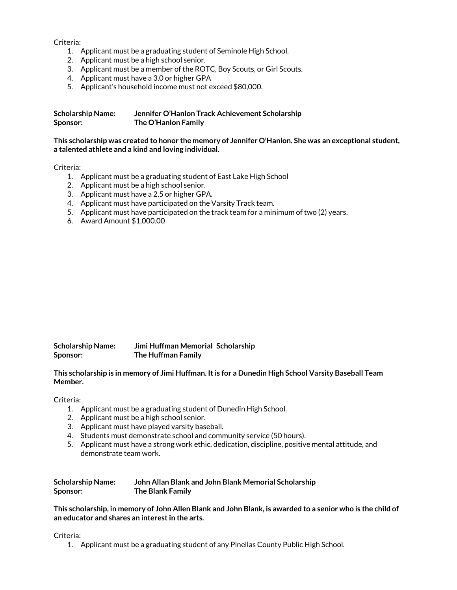Criteria:

- 1. Applicant must be a graduating student of Seminole High School.
- 2. Applicant must be a high school senior.
- 3. Applicant must be a member of the ROTC, Boy Scouts, or Girl Scouts.
- 4. Applicant must have a 3.0 or higher GPA
- 5. Applicant's household income must not exceed \$80,000.

| <b>Scholarship Name:</b> | Jennifer O'Hanlon Track Achievement Scholarship |
|--------------------------|-------------------------------------------------|
| Sponsor:                 | The O'Hanlon Family                             |

**This scholarship was created to honor the memory of Jennifer O'Hanlon. She was an exceptional student, a talented athlete and a kind and loving individual.** 

Criteria:

- 1. Applicant must be a graduating student of East Lake High School
- 2. Applicant must be a high school senior.
- 3. Applicant must have a 2.5 or higher GPA.
- 4. Applicant must have participated on the Varsity Track team.
- 5. Applicant must have participated on the track team for a minimum of two (2) years.
- 6. Award Amount \$1,000.00

| <b>Scholarship Name:</b> | Jimi Huffman Memorial Scholarship |
|--------------------------|-----------------------------------|
| Sponsor:                 | The Huffman Family                |

**This scholarship is in memory of Jimi Huffman. It is for a Dunedin High School Varsity Baseball Team Member.** 

Criteria:

- 1. Applicant must be a graduating student of Dunedin High School.
- 2. Applicant must be a high school senior.
- 3. Applicant must have played varsity baseball.
- 4. Students must demonstrate school and community service (50 hours).
- 5. Applicant must have a strong work ethic, dedication, discipline, positive mental attitude, and demonstrate team work.

| <b>Scholarship Name:</b> | John Allan Blank and John Blank Memorial Scholarship |
|--------------------------|------------------------------------------------------|
| Sponsor:                 | The Blank Family                                     |

**This scholarship, in memory of John Allen Blank and John Blank, is awarded to a senior who is the child of an educator and shares an interest in the arts.** 

Criteria:

1. Applicant must be a graduating student of any Pinellas County Public High School.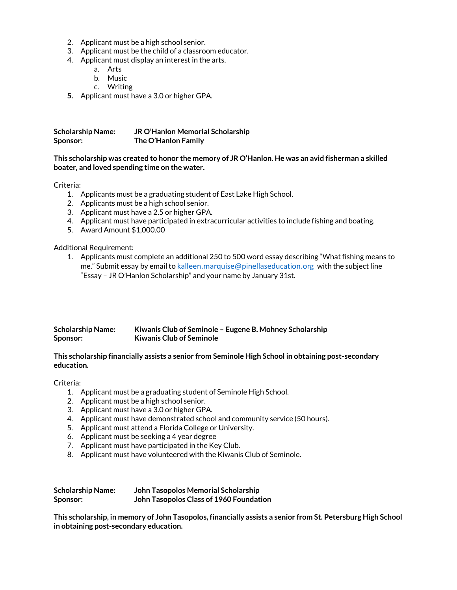- 2. Applicant must be a high school senior.
- 3. Applicant must be the child of a classroom educator.
- 4. Applicant must display an interest in the arts.
	- a. Arts
	- b. Music
	- c. Writing
- **5.** Applicant must have a 3.0 or higher GPA.

| <b>Scholarship Name:</b> | JR O'Hanlon Memorial Scholarship |
|--------------------------|----------------------------------|
| Sponsor:                 | The O'Hanlon Family              |

# **This scholarship was created to honor the memory of JR O'Hanlon. He was an avid fisherman a skilled boater, and loved spending time on the water.**

Criteria:

- 1. Applicants must be a graduating student of East Lake High School.
- 2. Applicants must be a high school senior.
- 3. Applicant must have a 2.5 or higher GPA.
- 4. Applicant must have participated in extracurricular activities to include fishing and boating.
- 5. Award Amount \$1,000.00

Additional Requirement:

1. Applicants must complete an additional 250 to 500 word essay describing "What fishing means to me." Submit essay by email to [kalleen.marquise@pinellaseducation.org](mailto:kalleen.marquise@pinellaseducation.org) with the subject line "Essay – JR O'Hanlon Scholarship" and your name by January 31st.

| <b>Scholarship Name:</b> | Kiwanis Club of Seminole – Eugene B. Mohney Scholarship |
|--------------------------|---------------------------------------------------------|
| <b>Sponsor:</b>          | <b>Kiwanis Club of Seminole</b>                         |

# **This scholarship financially assists a senior from Seminole High School in obtaining post-secondary education.**

Criteria:

- 1. Applicant must be a graduating student of Seminole High School.
- 2. Applicant must be a high school senior.
- 3. Applicant must have a 3.0 or higher GPA.
- 4. Applicant must have demonstrated school and community service (50 hours).
- 5. Applicant must attend a Florida College or University.
- 6. Applicant must be seeking a 4 year degree
- 7. Applicant must have participated in the Key Club.
- 8. Applicant must have volunteered with the Kiwanis Club of Seminole.

| <b>Scholarship Name:</b> | John Tasopolos Memorial Scholarship     |
|--------------------------|-----------------------------------------|
| Sponsor:                 | John Tasopolos Class of 1960 Foundation |

**This scholarship, in memory of John Tasopolos, financially assists a senior from St. Petersburg High School in obtaining post-secondary education.**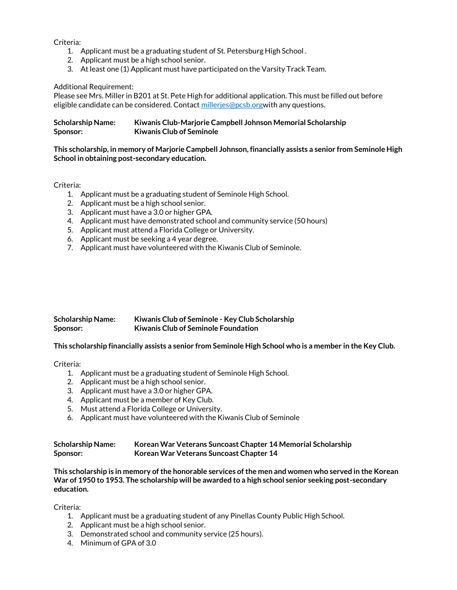Criteria:

- 1. Applicant must be a graduating student of St. Petersburg High School .
- 2. Applicant must be a high school senior.
- 3. At least one (1) Applicant must have participated on the Varsity Track Team.

Additional Requirement:

Please see Mrs. Miller in B201 at St. Pete High for additional application. This must be filled out before eligible candidate can be considered. Contact milleries@pcsb.orgwith any questions.

| <b>Scholarship Name:</b> | Kiwanis Club-Marjorie Campbell Johnson Memorial Scholarship |
|--------------------------|-------------------------------------------------------------|
| <b>Sponsor:</b>          | <b>Kiwanis Club of Seminole</b>                             |

**This scholarship, in memory of Marjorie Campbell Johnson, financially assists a senior from Seminole High School in obtaining post-secondary education.**

# Criteria:

- 1. Applicant must be a graduating student of Seminole High School.
- 2. Applicant must be a high school senior.
- 3. Applicant must have a 3.0 or higher GPA.
- 4. Applicant must have demonstrated school and community service (50 hours)
- 5. Applicant must attend a Florida College or University.
- 6. Applicant must be seeking a 4 year degree.
- 7. Applicant must have volunteered with the Kiwanis Club of Seminole.

| <b>Scholarship Name:</b> | Kiwanis Club of Seminole - Key Club Scholarship |
|--------------------------|-------------------------------------------------|
| Sponsor:                 | <b>Kiwanis Club of Seminole Foundation</b>      |

#### **This scholarship financially assists a senior from Seminole High School who is a member in the Key Club.**

#### Criteria:

- 1. Applicant must be a graduating student of Seminole High School.
- 2. Applicant must be a high school senior.
- 3. Applicant must have a 3.0 or higher GPA.
- 4. Applicant must be a member of Key Club.
- 5. Must attend a Florida College or University.
- 6. Applicant must have volunteered with the Kiwanis Club of Seminole

# **Scholarship Name: Korean War Veterans Suncoast Chapter 14 Memorial Scholarship Sponsor: Korean War Veterans Suncoast Chapter 14**

**This scholarship is in memory of the honorable services of the men and women who served in the Korean War of 1950 to 1953. The scholarship will be awarded to a high school senior seeking post-secondary education.**

- 1. Applicant must be a graduating student of any Pinellas County Public High School.
- 2. Applicant must be a high school senior.
- 3. Demonstrated school and community service (25 hours).
- 4. Minimum of GPA of 3.0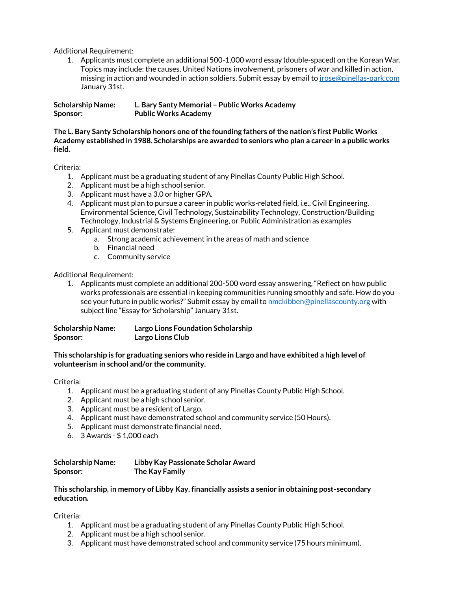Additional Requirement:

1. Applicants must complete an additional 500-1,000 word essay (double-spaced) on the Korean War. Topics may include: the causes, United Nations involvement, prisoners of war and killed in action, missing in action and wounded in action soldiers. Submit essay by email to *jrose@pinellas-park.com* January 31st.

**Scholarship Name: L. Bary Santy Memorial – Public Works Academy Sponsor: Public Works Academy**

**The L. Bary Santy Scholarship honors one of the founding fathers of the nation's first Public Works Academy established in 1988. Scholarships are awarded to seniors who plan a career in a public works field.** 

Criteria:

- 1. Applicant must be a graduating student of any Pinellas County Public High School.
- 2. Applicant must be a high school senior.
- 3. Applicant must have a 3.0 or higher GPA.
- 4. Applicant must plan to pursue a career in public works-related field, i.e., Civil Engineering, Environmental Science, Civil Technology, Sustainability Technology, Construction/Building Technology, Industrial & Systems Engineering, or Public Administration as examples
- 5. Applicant must demonstrate:
	- a. Strong academic achievement in the areas of math and science
	- b. Financial need
	- c. Community service

Additional Requirement:

1. Applicants must complete an additional 200-500 word essay answering, "Reflect on how public works professionals are essential in keeping communities running smoothly and safe. How do you see your future in public works?" Submit essay by email to **[nmckibben@pinellascounty.org](mailto:nmckibben@pinellascounty.org)** with subject line "Essay for Scholarship" January 31st.

| <b>Scholarship Name:</b> | <b>Largo Lions Foundation Scholarship</b> |
|--------------------------|-------------------------------------------|
| Sponsor:                 | Largo Lions Club                          |

**This scholarship is for graduating seniors who reside in Largo and have exhibited a high level of volunteerism in school and/or the community.**

Criteria:

- 1. Applicant must be a graduating student of any Pinellas County Public High School.
- 2. Applicant must be a high school senior.
- 3. Applicant must be a resident of Largo.
- 4. Applicant must have demonstrated school and community service (50 Hours).
- 5. Applicant must demonstrate financial need.
- 6. 3 Awards \$ 1,000 each

# **Scholarship Name: Libby Kay Passionate Scholar Award Sponsor: The Kay Family**

# **This scholarship, in memory of Libby Kay, financially assists a senior in obtaining post-secondary education.**

- 1. Applicant must be a graduating student of any Pinellas County Public High School.
- 2. Applicant must be a high school senior.
- 3. Applicant must have demonstrated school and community service (75 hours minimum).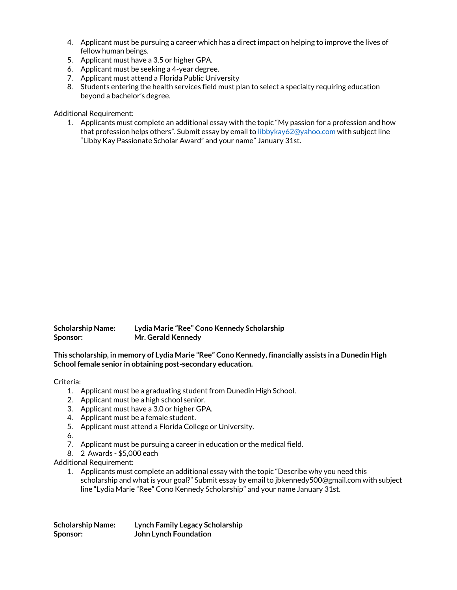- 4. Applicant must be pursuing a career which has a direct impact on helping to improve the lives of fellow human beings.
- 5. Applicant must have a 3.5 or higher GPA.
- 6. Applicant must be seeking a 4-year degree.
- 7. Applicant must attend a Florida Public University
- 8. Students entering the health services field must plan to select a specialty requiring education beyond a bachelor's degree.

# Additional Requirement:

1. Applicants must complete an additional essay with the topic "My passion for a profession and how that profession helps others". Submit essay by email to [libbykay62@yahoo.com](mailto:libbykay62@yahoo.com) with subject line "Libby Kay Passionate Scholar Award" and your name" January 31st.

| Scholarship Name: | Lydia Marie "Ree" Cono Kennedy Scholarship |
|-------------------|--------------------------------------------|
| Sponsor:          | Mr. Gerald Kennedy                         |

# **This scholarship, in memory of Lydia Marie "Ree" Cono Kennedy, financially assists in a Dunedin High School female senior in obtaining post-secondary education.**

# Criteria:

- 1. Applicant must be a graduating student from Dunedin High School.
- 2. Applicant must be a high school senior.
- 3. Applicant must have a 3.0 or higher GPA.
- 4. Applicant must be a female student.
- 5. Applicant must attend a Florida College or University.
- 6.
- 7. Applicant must be pursuing a career in education or the medical field.
- 8. 2 Awards \$5,000 each

Additional Requirement:

1. Applicants must complete an additional essay with the topic "Describe why you need this scholarship and what is your goal?" Submit essay by email to jbkennedy500@gmail.com with subject line "Lydia Marie "Ree" Cono Kennedy Scholarship" and your name January 31st.

| <b>Scholarship Name:</b> | <b>Lynch Family Legacy Scholarship</b> |
|--------------------------|----------------------------------------|
| Sponsor:                 | John Lynch Foundation                  |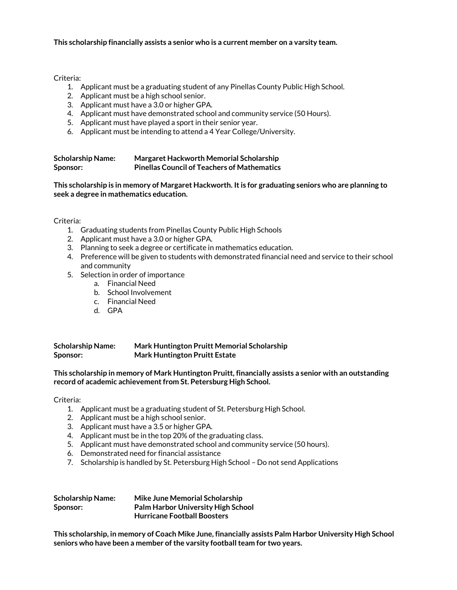Criteria:

- 1. Applicant must be a graduating student of any Pinellas County Public High School.
- 2. Applicant must be a high school senior.
- 3. Applicant must have a 3.0 or higher GPA.
- 4. Applicant must have demonstrated school and community service (50 Hours).
- 5. Applicant must have played a sport in their senior year.
- 6. Applicant must be intending to attend a 4 Year College/University.

| <b>Scholarship Name:</b> | Margaret Hackworth Memorial Scholarship            |
|--------------------------|----------------------------------------------------|
| Sponsor:                 | <b>Pinellas Council of Teachers of Mathematics</b> |

**This scholarship is in memory of Margaret Hackworth. It is for graduating seniors who are planning to seek a degree in mathematics education.**

# Criteria:

- 1. Graduating students from Pinellas County Public High Schools
- 2. Applicant must have a 3.0 or higher GPA.
- 3. Planning to seek a degree or certificate in mathematics education.
- 4. Preference will be given to students with demonstrated financial need and service to their school and community
- 5. Selection in order of importance
	- a. Financial Need
	- b. School Involvement
	- c. Financial Need
	- d. GPA

**Scholarship Name: Mark Huntington Pruitt Memorial Scholarship Sponsor: Mark Huntington Pruitt Estate**

**This scholarship in memory of Mark Huntington Pruitt, financially assists a senior with an outstanding record of academic achievement from St. Petersburg High School.**

Criteria:

- 1. Applicant must be a graduating student of St. Petersburg High School.
- 2. Applicant must be a high school senior.
- 3. Applicant must have a 3.5 or higher GPA.
- 4. Applicant must be in the top 20% of the graduating class.
- 5. Applicant must have demonstrated school and community service (50 hours).
- 6. Demonstrated need for financial assistance
- 7. Scholarship is handled by St. Petersburg High School Do not send Applications

| <b>Scholarship Name:</b> | Mike June Memorial Scholarship            |
|--------------------------|-------------------------------------------|
| Sponsor:                 | <b>Palm Harbor University High School</b> |
|                          | <b>Hurricane Football Boosters</b>        |

**This scholarship, in memory of Coach Mike June, financially assists Palm Harbor University High School seniors who have been a member of the varsity football team for two years.**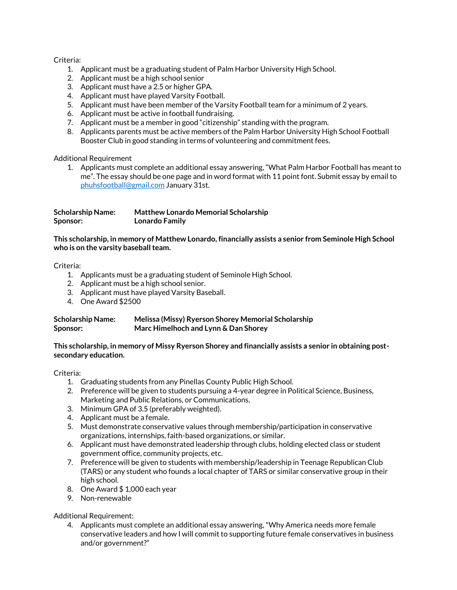# Criteria:

- 1. Applicant must be a graduating student of Palm Harbor University High School.
- 2. Applicant must be a high school senior
- 3. Applicant must have a 2.5 or higher GPA.
- 4. Applicant must have played Varsity Football.
- 5. Applicant must have been member of the Varsity Football team for a minimum of 2 years.
- 6. Applicant must be active in football fundraising.
- 7. Applicant must be a member in good "citizenship" standing with the program.
- 8. Applicants parents must be active members of the Palm Harbor University High School Football Booster Club in good standing in terms of volunteering and commitment fees.

Additional Requirement

1. Applicants must complete an additional essay answering, "What Palm Harbor Football has meant to me". The essay should be one page and in word format with 11 point font. Submit essay by email to [phuhsfootball@gmail.com](mailto:phuhsfootball@gmail.com) January 31st.

| <b>Scholarship Name:</b> | <b>Matthew Lonardo Memorial Scholarship</b> |
|--------------------------|---------------------------------------------|
| Sponsor:                 | <b>Lonardo Family</b>                       |

**This scholarship, in memory of Matthew Lonardo, financially assists a senior from Seminole High School who is on the varsity baseball team.** 

Criteria:

- 1. Applicants must be a graduating student of Seminole High School.
- 2. Applicant must be a high school senior.
- 3. Applicant must have played Varsity Baseball.
- 4. One Award \$2500

| <b>Scholarship Name:</b> | Melissa (Missy) Ryerson Shorey Memorial Scholarship |
|--------------------------|-----------------------------------------------------|
| Sponsor:                 | Marc Himelhoch and Lynn & Dan Shorey                |

# **This scholarship, in memory of Missy Ryerson Shorey and financially assists a senior in obtaining postsecondary education.**

Criteria:

- 1. Graduating students from any Pinellas County Public High School.
- 2. Preference will be given to students pursuing a 4-year degree in Political Science, Business, Marketing and Public Relations, or Communications.
- 3. Minimum GPA of 3.5 (preferably weighted).
- 4. Applicant must be a female.
- 5. Must demonstrate conservative values through membership/participation in conservative organizations, internships, faith-based organizations, or similar.
- 6. Applicant must have demonstrated leadership through clubs, holding elected class or student government office, community projects, etc.
- 7. Preference will be given to students with membership/leadership in Teenage Republican Club (TARS) or any student who founds a local chapter of TARS or similar conservative group in their high school.
- 8. One Award \$ 1,000 each year
- 9. Non-renewable

Additional Requirement:

4. Applicants must complete an additional essay answering, "Why America needs more female conservative leaders and how I will commit to supporting future female conservatives in business and/or government?"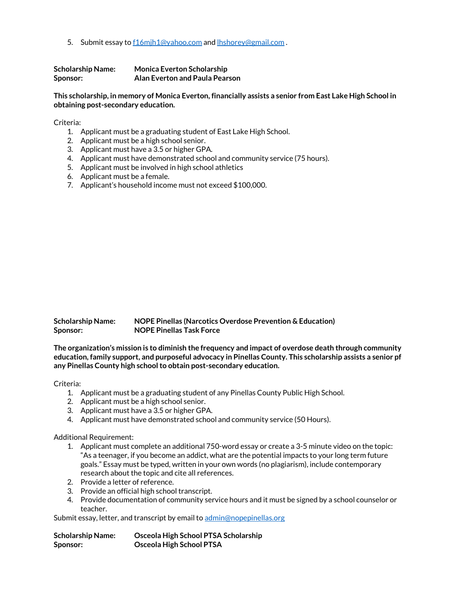5. Submit essay to f16mih1@yahoo.com an[d lhshorey@gmail.com](mailto:lhshorey@gmail.com).

| <b>Scholarship Name:</b> | <b>Monica Everton Scholarship</b> |
|--------------------------|-----------------------------------|
| Sponsor:                 | Alan Everton and Paula Pearson    |

**This scholarship, in memory of Monica Everton, financially assists a senior from East Lake High School in obtaining post-secondary education.** 

Criteria:

- 1. Applicant must be a graduating student of East Lake High School.
- 2. Applicant must be a high school senior.
- 3. Applicant must have a 3.5 or higher GPA.
- 4. Applicant must have demonstrated school and community service (75 hours).
- 5. Applicant must be involved in high school athletics
- 6. Applicant must be a female.
- 7. Applicant's household income must not exceed \$100,000.

| <b>Scholarship Name:</b> | NOPE Pinellas (Narcotics Overdose Prevention & Education) |
|--------------------------|-----------------------------------------------------------|
| Sponsor:                 | <b>NOPE Pinellas Task Force</b>                           |

**The organization's mission is to diminish the frequency and impact of overdose death through community education, family support, and purposeful advocacy in Pinellas County. This scholarship assists a senior pf any Pinellas County high school to obtain post-secondary education.**

Criteria:

- 1. Applicant must be a graduating student of any Pinellas County Public High School.
- 2. Applicant must be a high school senior.
- 3. Applicant must have a 3.5 or higher GPA.
- 4. Applicant must have demonstrated school and community service (50 Hours).

Additional Requirement:

- 1. Applicant must complete an additional 750-word essay or create a 3-5 minute video on the topic: "As a teenager, if you become an addict, what are the potential impacts to your long term future goals." Essay must be typed, written in your own words (no plagiarism), include contemporary research about the topic and cite all references.
- 2. Provide a letter of reference.
- 3. Provide an official high school transcript.
- 4. Provide documentation of community service hours and it must be signed by a school counselor or teacher.

Submit essay, letter, and transcript by email t[o admin@nopepinellas.org](mailto:admin@nopepinellas.org)

| <b>Scholarship Name:</b> | Osceola High School PTSA Scholarship |
|--------------------------|--------------------------------------|
| Sponsor:                 | <b>Osceola High School PTSA</b>      |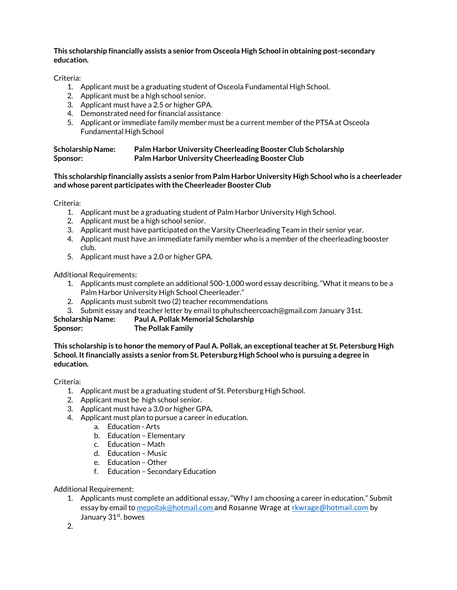# **This scholarship financially assists a senior from Osceola High School in obtaining post-secondary education.**

Criteria:

- 1. Applicant must be a graduating student of Osceola Fundamental High School.
- 2. Applicant must be a high school senior.
- 3. Applicant must have a 2.5 or higher GPA.
- 4. Demonstrated need for financial assistance
- 5. Applicant or immediate family member must be a current member of the PTSA at Osceola Fundamental High School

| <b>Scholarship Name:</b> | Palm Harbor University Cheerleading Booster Club Scholarship |
|--------------------------|--------------------------------------------------------------|
| Sponsor:                 | Palm Harbor University Cheerleading Booster Club             |

# **This scholarship financially assists a senior from Palm Harbor University High School who is a cheerleader and whose parent participates with the Cheerleader Booster Club**

Criteria:

- 1. Applicant must be a graduating student of Palm Harbor University High School.
- 2. Applicant must be a high school senior.
- 3. Applicant must have participated on the Varsity Cheerleading Team in their senior year.
- 4. Applicant must have an immediate family member who is a member of the cheerleading booster club.
- 5. Applicant must have a 2.0 or higher GPA.

Additional Requirements:

- 1. Applicants must complete an additional 500-1,000 word essay describing, "What it means to be a Palm Harbor University High School Cheerleader."
- 2. Applicants must submit two (2) teacher recommendations
- 3. Submit essay and teacher letter by email to phuhscheercoach@gmail.com January 31st.

# **Scholarship Name: Paul A. Pollak Memorial Scholarship Sponsor: The Pollak Family**

**This scholarship is to honor the memory of Paul A. Pollak, an exceptional teacher at St. Petersburg High School. It financially assists a senior from St. Petersburg High School who is pursuing a degree in education.**

# Criteria:

- 1. Applicant must be a graduating student of St. Petersburg High School.
- 2. Applicant must be high school senior.
- 3. Applicant must have a 3.0 or higher GPA.
- 4. Applicant must plan to pursue a career in education.
	- a. Education Arts
	- b. Education Elementary
	- c. Education Math
	- d. Education Music
	- e. Education Other
	- f. Education Secondary Education

Additional Requirement:

1. Applicants must complete an additional essay, "Why I am choosing a career in education." Submit essay by email t[o mepollak@hotmail.com](mailto:mepollak@hotmail.com) and Rosanne Wrage at [rkwrage@hotmail.com](mailto:rkwrage@hotmail.com) by January 31<sup>st</sup>. bowes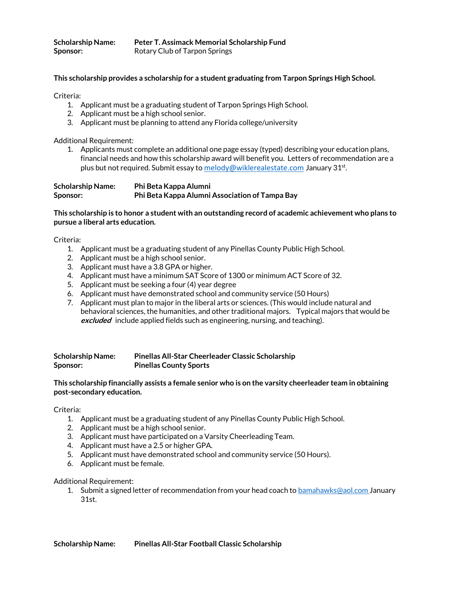| <b>Scholarship Name:</b> | Peter T. Assimack Memorial Scholarship Fund |
|--------------------------|---------------------------------------------|
| Sponsor:                 | Rotary Club of Tarpon Springs               |

## **This scholarship provides a scholarship for a student graduating from Tarpon Springs High School.**

Criteria:

- 1. Applicant must be a graduating student of Tarpon Springs High School.
- 2. Applicant must be a high school senior.
- 3. Applicant must be planning to attend any Florida college/university

Additional Requirement:

1. Applicants must complete an additional one page essay (typed) describing your education plans, financial needs and how this scholarship award will benefit you. Letters of recommendation are a plus but not required. Submit essay to <u>[melody@wiklerealestate.com](mailto:melody@wiklerealestate.com)</u> January 31<sup>st</sup>.

| <b>Scholarship Name:</b> | Phi Beta Kappa Alumni                          |
|--------------------------|------------------------------------------------|
| Sponsor:                 | Phi Beta Kappa Alumni Association of Tampa Bay |

# **This scholarship is to honor a student with an outstanding record of academic achievement who plans to pursue a liberal arts education.**

Criteria:

- 1. Applicant must be a graduating student of any Pinellas County Public High School.
- 2. Applicant must be a high school senior.
- 3. Applicant must have a 3.8 GPA or higher.
- 4. Applicant must have a minimum SAT Score of 1300 or minimum ACT Score of 32.
- 5. Applicant must be seeking a four (4) year degree
- 6. Applicant must have demonstrated school and community service (50 Hours)
- 7. Applicant must plan to major in the liberal arts or sciences. (This would include natural and behavioral sciences, the humanities, and other traditional majors. Typical majors that would be **excluded** include applied fields such as engineering, nursing, and teaching).

**Scholarship Name: Pinellas All-Star Cheerleader Classic Scholarship Sponsor: Pinellas County Sports**

#### **This scholarship financially assists a female senior who is on the varsity cheerleader team in obtaining post-secondary education.**

#### Criteria:

- 1. Applicant must be a graduating student of any Pinellas County Public High School.
- 2. Applicant must be a high school senior.
- 3. Applicant must have participated on a Varsity Cheerleading Team.
- 4. Applicant must have a 2.5 or higher GPA.
- 5. Applicant must have demonstrated school and community service (50 Hours).
- 6. Applicant must be female.

#### Additional Requirement:

1. Submit a signed letter of recommendation from your head coach to **bamahawks@aol.com** January 31st.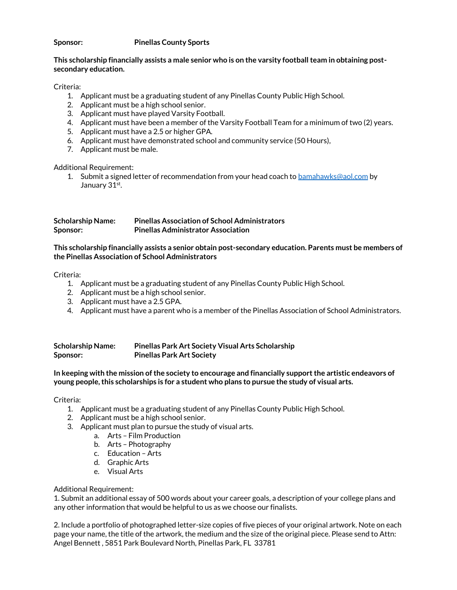# **Sponsor: Pinellas County Sports**

# **This scholarship financially assists a male senior who is on the varsity football team in obtaining postsecondary education.**

Criteria:

- 1. Applicant must be a graduating student of any Pinellas County Public High School.
- 2. Applicant must be a high school senior.
- 3. Applicant must have played Varsity Football.
- 4. Applicant must have been a member of the Varsity Football Team for a minimum of two (2) years.
- 5. Applicant must have a 2.5 or higher GPA.
- 6. Applicant must have demonstrated school and community service (50 Hours),
- 7. Applicant must be male.

Additional Requirement:

1. Submit a signed letter of recommendation from your head coach t[o bamahawks@aol.com](mailto:bamahawks@aol.com) by January 31st.

| <b>Scholarship Name:</b> | <b>Pinellas Association of School Administrators</b> |
|--------------------------|------------------------------------------------------|
| Sponsor:                 | <b>Pinellas Administrator Association</b>            |

## **This scholarship financially assists a senior obtain post-secondary education. Parents must be members of the Pinellas Association of School Administrators**

Criteria:

- 1. Applicant must be a graduating student of any Pinellas County Public High School.
- 2. Applicant must be a high school senior.
- 3. Applicant must have a 2.5 GPA.
- 4. Applicant must have a parent who is a member of the Pinellas Association of School Administrators.

| <b>Scholarship Name:</b> | <b>Pinellas Park Art Society Visual Arts Scholarship</b> |
|--------------------------|----------------------------------------------------------|
| Sponsor:                 | <b>Pinellas Park Art Society</b>                         |

**In keeping with the mission of the society to encourage and financially support the artistic endeavors of young people, this scholarships is for a student who plans to pursue the study of visual arts.** 

Criteria:

- 1. Applicant must be a graduating student of any Pinellas County Public High School.
- 2. Applicant must be a high school senior.
- 3. Applicant must plan to pursue the study of visual arts.
	- a. Arts Film Production
		- b. Arts Photography
		- c. Education Arts
		- d. Graphic Arts
		- e. Visual Arts

Additional Requirement:

1. Submit an additional essay of 500 words about your career goals, a description of your college plans and any other information that would be helpful to us as we choose our finalists.

2. Include a portfolio of photographed letter-size copies of five pieces of your original artwork. Note on each page your name, the title of the artwork, the medium and the size of the original piece. Please send to Attn: Angel Bennett , 5851 Park Boulevard North, Pinellas Park, FL 33781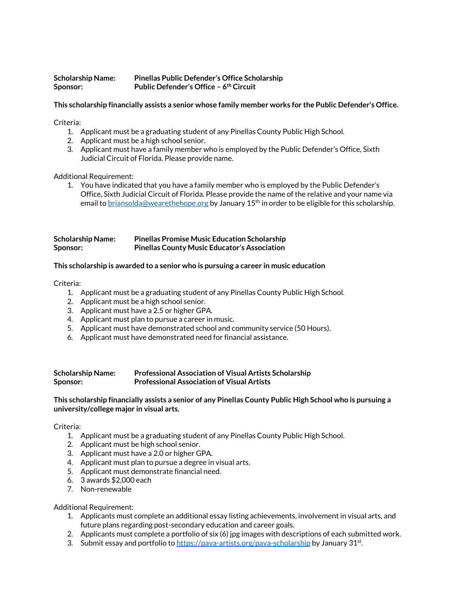# **Scholarship Name: Pinellas Public Defender's Office Scholarship Sponsor: Public Defender's Office – 6 th Circuit**

# **This scholarship financially assists a senior whose family member works for the Public Defender's Office.**

Criteria:

- 1. Applicant must be a graduating student of any Pinellas County Public High School.
- 2. Applicant must be a high school senior.
- 3. Applicant must have a family member who is employed by the Public Defender's Office, Sixth Judicial Circuit of Florida. Please provide name.

Additional Requirement:

1. You have indicated that you have a family member who is employed by the Public Defender's Office, Sixth Judicial Circuit of Florida. Please provide the name of the relative and your name via email to [briansolda@wearethehope.org](mailto:briansolda@wearethehope.org) by January 15<sup>th</sup> in order to be eligible for this scholarship.

| <b>Scholarship Name:</b> | <b>Pinellas Promise Music Education Scholarship</b> |
|--------------------------|-----------------------------------------------------|
| Sponsor:                 | <b>Pinellas County Music Educator's Association</b> |

# **This scholarship is awarded to a senior who is pursuing a career in music education**

Criteria:

- 1. Applicant must be a graduating student of any Pinellas County Public High School.
- 2. Applicant must be a high school senior.
- 3. Applicant must have a 2.5 or higher GPA.
- 4. Applicant must plan to pursue a career in music.
- 5. Applicant must have demonstrated school and community service (50 Hours).
- 6. Applicant must have demonstrated need for financial assistance.

| <b>Scholarship Name:</b> | <b>Professional Association of Visual Artists Scholarship</b> |
|--------------------------|---------------------------------------------------------------|
| Sponsor:                 | <b>Professional Association of Visual Artists</b>             |

# **This scholarship financially assists a senior of any Pinellas County Public High School who is pursuing a university/college major in visual arts.**

Criteria:

- 1. Applicant must be a graduating student of any Pinellas County Public High School.
- 2. Applicant must be high school senior.
- 3. Applicant must have a 2.0 or higher GPA.
- 4. Applicant must plan to pursue a degree in visual arts.
- 5. Applicant must demonstrate financial need.
- 6. 3 awards \$2,000 each
- 7. Non-renewable

Additional Requirement:

- 1. Applicants must complete an additional essay listing achievements, involvement in visual arts, and future plans regarding post-secondary education and career goals.
- 2. Applicants must complete a portfolio of six (6) jpg images with descriptions of each submitted work.
- 3. Submit essay and portfolio t[o https://pava-artists.org/pava-scholarship](https://pava-artists.org/pava-scholarship) by January 31st.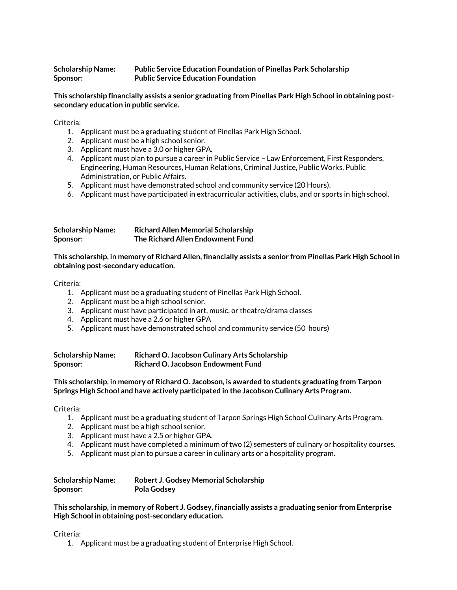# **Scholarship Name: Public Service Education Foundation of Pinellas Park Scholarship Sponsor: Public Service Education Foundation**

## **This scholarship financially assists a senior graduating from Pinellas Park High School in obtaining postsecondary education in public service.**

# Criteria:

- 1. Applicant must be a graduating student of Pinellas Park High School.
- 2. Applicant must be a high school senior.
- 3. Applicant must have a 3.0 or higher GPA.
- 4. Applicant must plan to pursue a career in Public Service Law Enforcement, First Responders, Engineering, Human Resources, Human Relations, Criminal Justice, Public Works, Public Administration, or Public Affairs.
- 5. Applicant must have demonstrated school and community service (20 Hours).
- 6. Applicant must have participated in extracurricular activities, clubs, and or sports in high school.

| <b>Scholarship Name:</b> | <b>Richard Allen Memorial Scholarship</b> |
|--------------------------|-------------------------------------------|
| Sponsor:                 | The Richard Allen Endowment Fund          |

# **This scholarship, in memory of Richard Allen, financially assists a senior from Pinellas Park High School in obtaining post-secondary education.**

# Criteria:

- 1. Applicant must be a graduating student of Pinellas Park High School.
- 2. Applicant must be a high school senior.
- 3. Applicant must have participated in art, music, or theatre/drama classes
- 4. Applicant must have a 2.6 or higher GPA
- 5. Applicant must have demonstrated school and community service (50 hours)

| <b>Scholarship Name:</b> | Richard O. Jacobson Culinary Arts Scholarship |
|--------------------------|-----------------------------------------------|
| Sponsor:                 | Richard O. Jacobson Endowment Fund            |

#### **This scholarship, in memory of Richard O. Jacobson, is awarded to students graduating from Tarpon Springs High School and have actively participated in the Jacobson Culinary Arts Program.**

#### Criteria:

- 1. Applicant must be a graduating student of Tarpon Springs High School Culinary Arts Program.
- 2. Applicant must be a high school senior.
- 3. Applicant must have a 2.5 or higher GPA.
- 4. Applicant must have completed a minimum of two (2) semesters of culinary or hospitality courses.
- 5. Applicant must plan to pursue a career in culinary arts or a hospitality program.

| <b>Scholarship Name:</b> | Robert J. Godsey Memorial Scholarship |
|--------------------------|---------------------------------------|
| Sponsor:                 | <b>Pola Godsey</b>                    |

**This scholarship, in memory of Robert J. Godsey, financially assists a graduating senior from Enterprise High School in obtaining post-secondary education.**

Criteria:

1. Applicant must be a graduating student of Enterprise High School.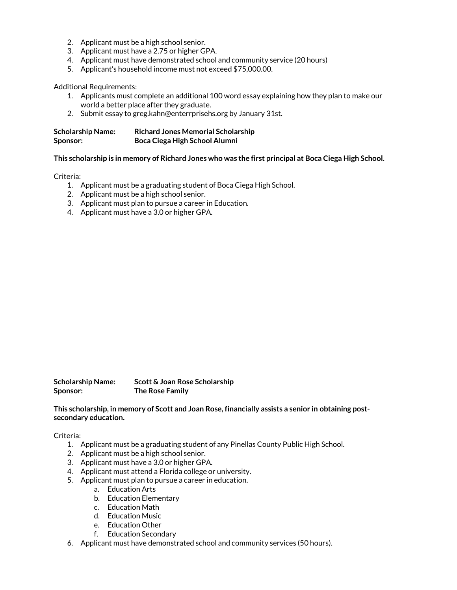- 2. Applicant must be a high school senior.
- 3. Applicant must have a 2.75 or higher GPA.
- 4. Applicant must have demonstrated school and community service (20 hours)
- 5. Applicant's household income must not exceed \$75,000.00.

Additional Requirements:

- 1. Applicants must complete an additional 100 word essay explaining how they plan to make our world a better place after they graduate.
- 2. Submit essay to greg.kahn@enterrprisehs.org by January 31st.

| <b>Scholarship Name:</b> | <b>Richard Jones Memorial Scholarship</b> |
|--------------------------|-------------------------------------------|
| Sponsor:                 | Boca Ciega High School Alumni             |

#### **This scholarship is in memory of Richard Jones who was the first principal at Boca Ciega High School.**

Criteria:

- 1. Applicant must be a graduating student of Boca Ciega High School.
- 2. Applicant must be a high school senior.
- 3. Applicant must plan to pursue a career in Education.
- 4. Applicant must have a 3.0 or higher GPA.

**Scholarship Name: Scott & Joan Rose Scholarship Sponsor: The Rose Family**

**This scholarship, in memory of Scott and Joan Rose, financially assists a senior in obtaining postsecondary education.**

- 1. Applicant must be a graduating student of any Pinellas County Public High School.
- 2. Applicant must be a high school senior.
- 3. Applicant must have a 3.0 or higher GPA.
- 4. Applicant must attend a Florida college or university.
- 5. Applicant must plan to pursue a career in education.
	- a. Education Arts
	- b. Education Elementary
	- c. Education Math
	- d. Education Music
	- e. Education Other
	- f. Education Secondary
- 6. Applicant must have demonstrated school and community services (50 hours).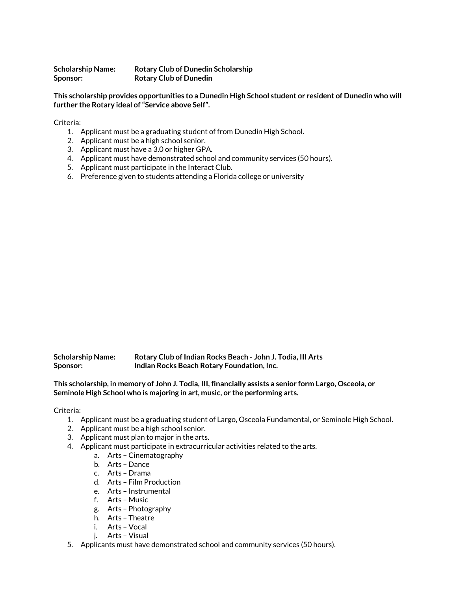**Scholarship Name: Rotary Club of Dunedin Scholarship Sponsor: Rotary Club of Dunedin**

**This scholarship provides opportunities to a Dunedin High School student or resident of Dunedin who will further the Rotary ideal of "Service above Self".**

Criteria:

- 1. Applicant must be a graduating student of from Dunedin High School.
- 2. Applicant must be a high school senior.
- 3. Applicant must have a 3.0 or higher GPA.
- 4. Applicant must have demonstrated school and community services (50 hours).
- 5. Applicant must participate in the Interact Club.
- 6. Preference given to students attending a Florida college or university

| <b>Scholarship Name:</b> | Rotary Club of Indian Rocks Beach - John J. Todia, III Arts |
|--------------------------|-------------------------------------------------------------|
| Sponsor:                 | Indian Rocks Beach Rotary Foundation, Inc.                  |

**This scholarship, in memory of John J. Todia, III, financially assists a senior form Largo, Osceola, or Seminole High School who is majoring in art, music, or the performing arts.**

- 1. Applicant must be a graduating student of Largo, Osceola Fundamental, or Seminole High School.
- 2. Applicant must be a high school senior.
- 3. Applicant must plan to major in the arts.
- 4. Applicant must participate in extracurricular activities related to the arts.
	- a. Arts Cinematography
	- b. Arts Dance
	- c. Arts Drama
	- d. Arts Film Production
	- e. Arts Instrumental
	- f. Arts Music
	- g. Arts Photography
	- h. Arts Theatre
	- i. Arts Vocal
	- j. Arts Visual
- 5. Applicants must have demonstrated school and community services (50 hours).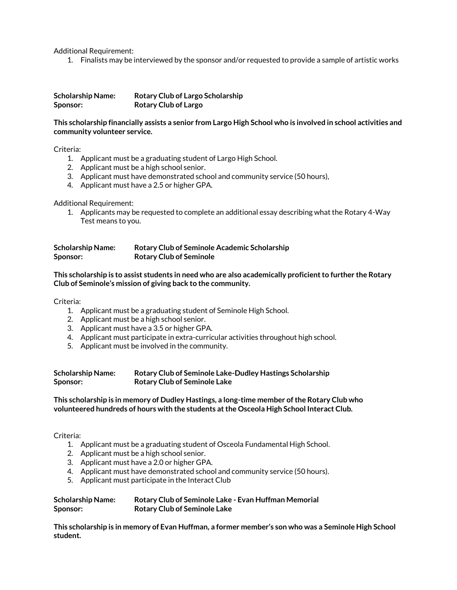Additional Requirement:

1. Finalists may be interviewed by the sponsor and/or requested to provide a sample of artistic works

**Scholarship Name: Rotary Club of Largo Scholarship Sponsor: Rotary Club of Largo**

**This scholarship financially assists a senior from Largo High School who is involved in school activities and community volunteer service.** 

Criteria:

- 1. Applicant must be a graduating student of Largo High School.
- 2. Applicant must be a high school senior.
- 3. Applicant must have demonstrated school and community service (50 hours),
- 4. Applicant must have a 2.5 or higher GPA.

Additional Requirement:

1. Applicants may be requested to complete an additional essay describing what the Rotary 4-Way Test means to you.

| <b>Scholarship Name:</b> | <b>Rotary Club of Seminole Academic Scholarship</b> |
|--------------------------|-----------------------------------------------------|
| Sponsor:                 | <b>Rotary Club of Seminole</b>                      |

**This scholarship is to assist students in need who are also academically proficient to further the Rotary Club of Seminole's mission of giving back to the community.**

Criteria:

- 1. Applicant must be a graduating student of Seminole High School.
- 2. Applicant must be a high school senior.
- 3. Applicant must have a 3.5 or higher GPA.
- 4. Applicant must participate in extra-curricular activities throughout high school.
- 5. Applicant must be involved in the community.

| <b>Scholarship Name:</b> | Rotary Club of Seminole Lake-Dudley Hastings Scholarship |
|--------------------------|----------------------------------------------------------|
| Sponsor:                 | <b>Rotary Club of Seminole Lake</b>                      |

**This scholarship is in memory of Dudley Hastings, a long-time member of the Rotary Club who volunteered hundreds of hours with the students at the Osceola High School Interact Club.** 

Criteria:

- 1. Applicant must be a graduating student of Osceola Fundamental High School.
- 2. Applicant must be a high school senior.
- 3. Applicant must have a 2.0 or higher GPA.
- 4. Applicant must have demonstrated school and community service (50 hours).
- 5. Applicant must participate in the Interact Club

| <b>Scholarship Name:</b> | Rotary Club of Seminole Lake - Evan Huffman Memorial |
|--------------------------|------------------------------------------------------|
| Sponsor:                 | <b>Rotary Club of Seminole Lake</b>                  |

**This scholarship is in memory of Evan Huffman, a former member's son who was a Seminole High School student.**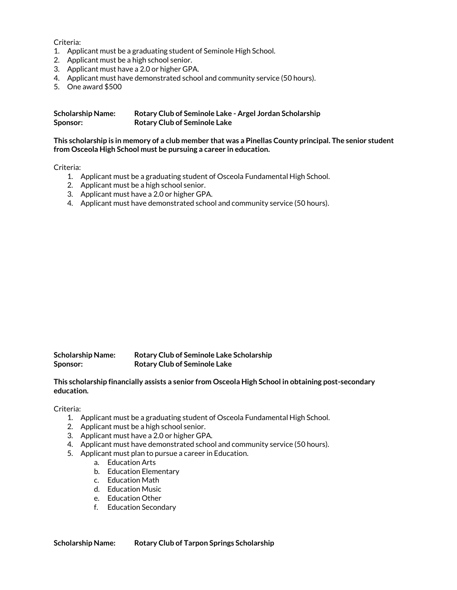Criteria:

- 1. Applicant must be a graduating student of Seminole High School.
- 2. Applicant must be a high school senior.
- 3. Applicant must have a 2.0 or higher GPA.
- 4. Applicant must have demonstrated school and community service (50 hours).
- 5. One award \$500

| <b>Scholarship Name:</b> | Rotary Club of Seminole Lake - Argel Jordan Scholarship |
|--------------------------|---------------------------------------------------------|
| Sponsor:                 | <b>Rotary Club of Seminole Lake</b>                     |

**This scholarship is in memory of a club member that was a Pinellas County principal. The senior student from Osceola High School must be pursuing a career in education.**

Criteria:

- 1. Applicant must be a graduating student of Osceola Fundamental High School.
- 2. Applicant must be a high school senior.
- 3. Applicant must have a 2.0 or higher GPA.
- 4. Applicant must have demonstrated school and community service (50 hours).

**Scholarship Name: Rotary Club of Seminole Lake Scholarship Sponsor: Rotary Club of Seminole Lake**

**This scholarship financially assists a senior from Osceola High School in obtaining post-secondary education.**

Criteria:

- 1. Applicant must be a graduating student of Osceola Fundamental High School.
- 2. Applicant must be a high school senior.
- 3. Applicant must have a 2.0 or higher GPA.
- 4. Applicant must have demonstrated school and community service (50 hours).
- 5. Applicant must plan to pursue a career in Education.
	- a. Education Arts
	- b. Education Elementary
	- c. Education Math
	- d. Education Music
	- e. Education Other
	- f. Education Secondary

**Scholarship Name: Rotary Club of Tarpon Springs Scholarship**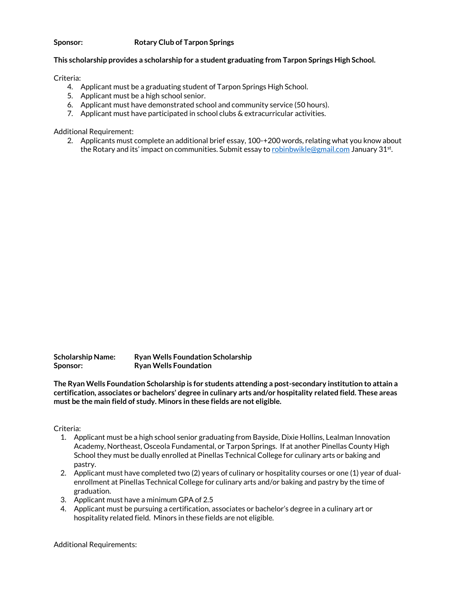# **Sponsor: Rotary Club of Tarpon Springs**

# **This scholarship provides a scholarship for a student graduating from Tarpon Springs High School.**

Criteria:

- 4. Applicant must be a graduating student of Tarpon Springs High School.
- 5. Applicant must be a high school senior.
- 6. Applicant must have demonstrated school and community service (50 hours).
- 7. Applicant must have participated in school clubs & extracurricular activities.

Additional Requirement:

2. Applicants must complete an additional brief essay, 100-+200 words, relating what you know about the Rotary and its' impact on communities. Submit essay to <u>[robinbwikle@gmail.com](mailto:robinbwikle@gmail.com)</u> January 31<sup>st</sup>.

**Scholarship Name: Ryan Wells Foundation Scholarship Sponsor: Ryan Wells Foundation**

**The Ryan Wells Foundation Scholarship is for students attending a post-secondary institution to attain a certification, associates or bachelors' degree in culinary arts and/or hospitality related field. These areas must be the main field of study. Minors in these fields are not eligible.** 

Criteria:

- 1. Applicant must be a high school senior graduating from Bayside, Dixie Hollins, Lealman Innovation Academy, Northeast, Osceola Fundamental, or Tarpon Springs. If at another Pinellas County High School they must be dually enrolled at Pinellas Technical College for culinary arts or baking and pastry.
- 2. Applicant must have completed two (2) years of culinary or hospitality courses or one (1) year of dualenrollment at Pinellas Technical College for culinary arts and/or baking and pastry by the time of graduation.
- 3. Applicant must have a minimum GPA of 2.5
- 4. Applicant must be pursuing a certification, associates or bachelor's degree in a culinary art or hospitality related field. Minors in these fields are not eligible.

Additional Requirements: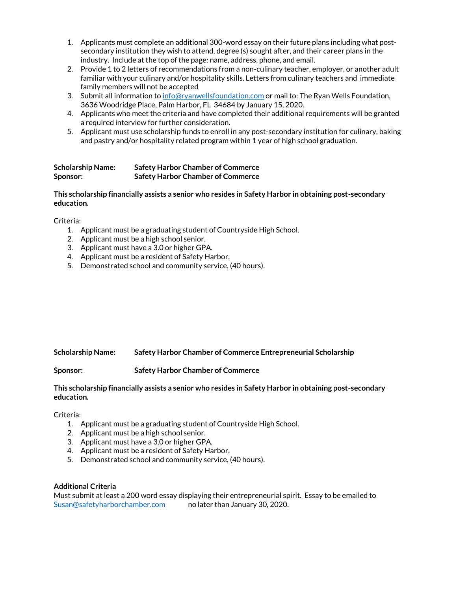- 1. Applicants must complete an additional 300-word essay on their future plans including what postsecondary institution they wish to attend, degree (s) sought after, and their career plans in the industry. Include at the top of the page: name, address, phone, and email.
- 2. Provide 1 to 2 letters of recommendations from a non-culinary teacher, employer, or another adult familiar with your culinary and/or hospitality skills. Letters from culinary teachers and immediate family members will not be accepted
- 3. Submit all information to [info@ryanwellsfoundation.com](mailto:info@ryanwellsfoundation.com) or mail to: The Ryan Wells Foundation, 3636 Woodridge Place, Palm Harbor, FL 34684 by January 15, 2020.
- 4. Applicants who meet the criteria and have completed their additional requirements will be granted a required interview for further consideration.
- 5. Applicant must use scholarship funds to enroll in any post-secondary institution for culinary, baking and pastry and/or hospitality related program within 1 year of high school graduation.

| <b>Scholarship Name:</b> | <b>Safety Harbor Chamber of Commerce</b> |
|--------------------------|------------------------------------------|
| Sponsor:                 | <b>Safety Harbor Chamber of Commerce</b> |

# **This scholarship financially assists a senior who resides in Safety Harbor in obtaining post-secondary education.**

Criteria:

- 1. Applicant must be a graduating student of Countryside High School.
- 2. Applicant must be a high school senior.
- 3. Applicant must have a 3.0 or higher GPA.
- 4. Applicant must be a resident of Safety Harbor,
- 5. Demonstrated school and community service, (40 hours).

# **Scholarship Name: Safety Harbor Chamber of Commerce Entrepreneurial Scholarship**

**Sponsor: Safety Harbor Chamber of Commerce**

# **This scholarship financially assists a senior who resides in Safety Harbor in obtaining post-secondary education.**

Criteria:

- 1. Applicant must be a graduating student of Countryside High School.
- 2. Applicant must be a high school senior.
- 3. Applicant must have a 3.0 or higher GPA.
- 4. Applicant must be a resident of Safety Harbor,
- 5. Demonstrated school and community service, (40 hours).

#### **Additional Criteria**

Must submit at least a 200 word essay displaying their entrepreneurial spirit. Essay to be emailed to [Susan@safetyharborchamber.com](mailto:Susan@safetyharborchamber.com) no later than January 30, 2020.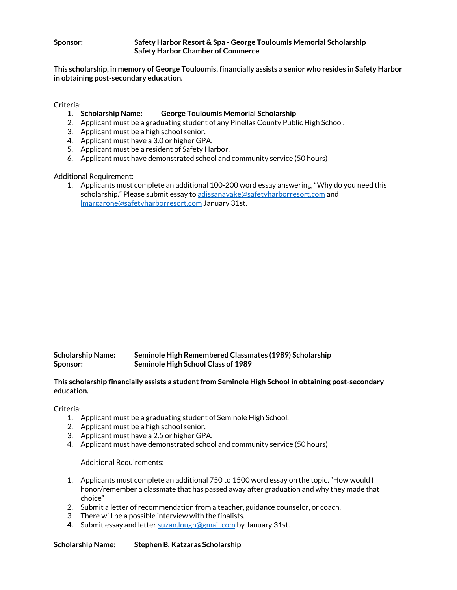### **Sponsor: Safety Harbor Resort & Spa - George Touloumis Memorial Scholarship Safety Harbor Chamber of Commerce**

**This scholarship, in memory of George Touloumis, financially assists a senior who resides in Safety Harbor in obtaining post-secondary education.**

Criteria:

- **1. Scholarship Name: George Touloumis Memorial Scholarship**
- 2. Applicant must be a graduating student of any Pinellas County Public High School.
- 3. Applicant must be a high school senior.
- 4. Applicant must have a 3.0 or higher GPA.
- 5. Applicant must be a resident of Safety Harbor.
- 6. Applicant must have demonstrated school and community service (50 hours)

Additional Requirement:

1. Applicants must complete an additional 100-200 word essay answering, "Why do you need this scholarship." Please submit essay to [adissanayake@safetyharborresort.com](mailto:adissanayake@safetyharborresort.com) and [lmargarone@safetyharborresort.com](mailto:lmargarone@safetyharborresort.com) January 31st.

| <b>Scholarship Name:</b> | Seminole High Remembered Classmates (1989) Scholarship |
|--------------------------|--------------------------------------------------------|
| Sponsor:                 | Seminole High School Class of 1989                     |

**This scholarship financially assists a student from Seminole High School in obtaining post-secondary education.**

Criteria:

- 1. Applicant must be a graduating student of Seminole High School.
- 2. Applicant must be a high school senior.
- 3. Applicant must have a 2.5 or higher GPA.
- 4. Applicant must have demonstrated school and community service (50 hours)

Additional Requirements:

- 1. Applicants must complete an additional 750 to 1500 word essay on the topic, "How would I honor/remember a classmate that has passed away after graduation and why they made that choice"
- 2. Submit a letter of recommendation from a teacher, guidance counselor, or coach.
- 3. There will be a possible interview with the finalists.
- **4.** Submit essay and lette[r suzan.lough@gmail.com](mailto:suzan.lough@gmail.com) by January 31st.

**Scholarship Name: Stephen B. Katzaras Scholarship**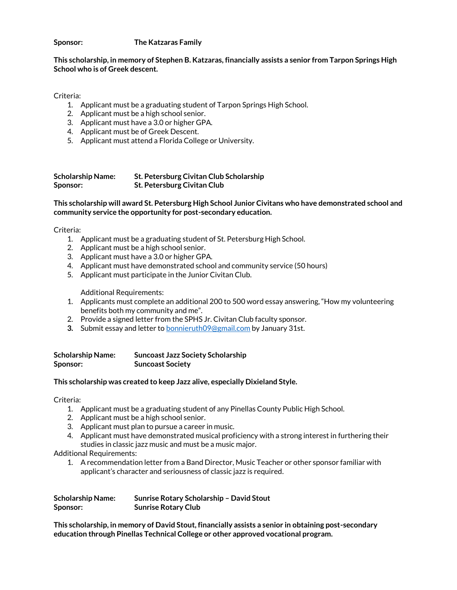**Sponsor: The Katzaras Family**

**This scholarship, in memory of Stephen B. Katzaras, financially assists a senior from Tarpon Springs High School who is of Greek descent.** 

Criteria:

- 1. Applicant must be a graduating student of Tarpon Springs High School.
- 2. Applicant must be a high school senior.
- 3. Applicant must have a 3.0 or higher GPA.
- 4. Applicant must be of Greek Descent.
- 5. Applicant must attend a Florida College or University.

**Scholarship Name: St. Petersburg Civitan Club Scholarship Sponsor: St. Petersburg Civitan Club**

**This scholarship will award St. Petersburg High School Junior Civitans who have demonstrated school and community service the opportunity for post-secondary education.**

Criteria:

- 1. Applicant must be a graduating student of St. Petersburg High School.
- 2. Applicant must be a high school senior.
- 3. Applicant must have a 3.0 or higher GPA.
- 4. Applicant must have demonstrated school and community service (50 hours)
- 5. Applicant must participate in the Junior Civitan Club.

Additional Requirements:

- 1. Applicants must complete an additional 200 to 500 word essay answering, "How my volunteering benefits both my community and me".
- 2. Provide a signed letter from the SPHS Jr. Civitan Club faculty sponsor.
- **3.** Submit essay and letter t[o bonnieruth09@gmail.com](mailto:bonnieruth09@gmail.com) by January 31st.

| <b>Scholarship Name:</b> | <b>Suncoast Jazz Society Scholarship</b> |
|--------------------------|------------------------------------------|
| Sponsor:                 | <b>Suncoast Society</b>                  |

**This scholarship was created to keep Jazz alive, especially Dixieland Style.** 

Criteria:

- 1. Applicant must be a graduating student of any Pinellas County Public High School.
- 2. Applicant must be a high school senior.
- 3. Applicant must plan to pursue a career in music.
- 4. Applicant must have demonstrated musical proficiency with a strong interest in furthering their studies in classic jazz music and must be a music major.

Additional Requirements:

1. A recommendation letter from a Band Director, Music Teacher or other sponsor familiar with applicant's character and seriousness of classic jazz is required.

| <b>Scholarship Name:</b> | <b>Sunrise Rotary Scholarship - David Stout</b> |
|--------------------------|-------------------------------------------------|
| Sponsor:                 | <b>Sunrise Rotary Club</b>                      |

**This scholarship, in memory of David Stout, financially assists a senior in obtaining post-secondary education through Pinellas Technical College or other approved vocational program.**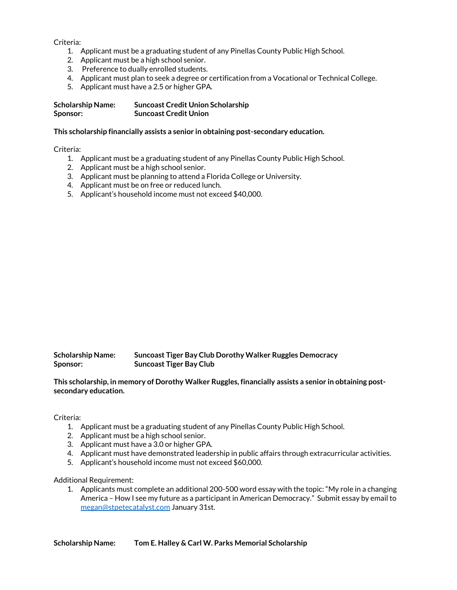Criteria:

- 1. Applicant must be a graduating student of any Pinellas County Public High School.
- 2. Applicant must be a high school senior.
- 3. Preference to dually enrolled students.
- 4. Applicant must plan to seek a degree or certification from a Vocational or Technical College.
- 5. Applicant must have a 2.5 or higher GPA.

| <b>Scholarship Name:</b> | <b>Suncoast Credit Union Scholarship</b> |
|--------------------------|------------------------------------------|
| Sponsor:                 | <b>Suncoast Credit Union</b>             |

#### **This scholarship financially assists a senior in obtaining post-secondary education.**

Criteria:

- 1. Applicant must be a graduating student of any Pinellas County Public High School.
- 2. Applicant must be a high school senior.
- 3. Applicant must be planning to attend a Florida College or University.
- 4. Applicant must be on free or reduced lunch.
- 5. Applicant's household income must not exceed \$40,000.

| <b>Scholarship Name:</b> | Suncoast Tiger Bay Club Dorothy Walker Ruggles Democracy |
|--------------------------|----------------------------------------------------------|
| Sponsor:                 | <b>Suncoast Tiger Bay Club</b>                           |

**This scholarship, in memory of Dorothy Walker Ruggles, financially assists a senior in obtaining postsecondary education.**

Criteria:

- 1. Applicant must be a graduating student of any Pinellas County Public High School.
- 2. Applicant must be a high school senior.
- 3. Applicant must have a 3.0 or higher GPA.
- 4. Applicant must have demonstrated leadership in public affairs through extracurricular activities.
- 5. Applicant's household income must not exceed \$60,000.

#### Additional Requirement:

1. Applicants must complete an additional 200-500 word essay with the topic: "My role in a changing America – How I see my future as a participant in American Democracy." Submit essay by email to [megan@stpetecatalyst.com](mailto:megan@stpetecatalyst.com) January 31st.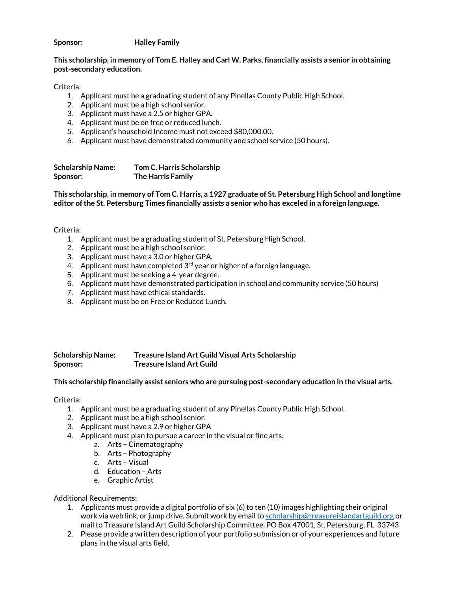**Sponsor: Halley Family**

# **This scholarship, in memory of Tom E. Halley and Carl W. Parks, financially assists a senior in obtaining post-secondary education.**

Criteria:

- 1. Applicant must be a graduating student of any Pinellas County Public High School.
- 2. Applicant must be a high school senior.
- 3. Applicant must have a 2.5 or higher GPA.
- 4. Applicant must be on free or reduced lunch.
- 5. Applicant's household Income must not exceed \$80,000.00.
- 6. Applicant must have demonstrated community and school service (50 hours).

| <b>Scholarship Name:</b> | Tom C. Harris Scholarship |
|--------------------------|---------------------------|
| Sponsor:                 | The Harris Family         |

**This scholarship, in memory of Tom C. Harris, a 1927 graduate of St. Petersburg High School and longtime editor of the St. Petersburg Times financially assists a senior who has exceled in a foreign language.**

Criteria:

- 1. Applicant must be a graduating student of St. Petersburg High School.
- 2. Applicant must be a high school senior.
- 3. Applicant must have a 3.0 or higher GPA.
- 4. Applicant must have completed  $3<sup>rd</sup>$  year or higher of a foreign language.
- 5. Applicant must be seeking a 4-year degree.
- 6. Applicant must have demonstrated participation in school and community service (50 hours)
- 7. Applicant must have ethical standards.
- 8. Applicant must be on Free or Reduced Lunch.

# **Scholarship Name: Treasure Island Art Guild Visual Arts Scholarship Sponsor: Treasure Island Art Guild**

#### **This scholarship financially assist seniors who are pursuing post-secondary education in the visual arts.**

Criteria:

- 1. Applicant must be a graduating student of any Pinellas County Public High School.
- 2. Applicant must be a high school senior.
- 3. Applicant must have a 2.9 or higher GPA
- 4. Applicant must plan to pursue a career in the visual or fine arts.
	- a. Arts Cinematography
	- b. Arts Photography
	- c. Arts Visual
	- d. Education Arts
	- e. Graphic Artist

Additional Requirements:

- 1. Applicants must provide a digital portfolio of six (6) to ten (10) images highlighting their original work via web link, or jump drive. Submit work by email to [scholarship@treasureislandartguild.org](mailto:scholarship@treasureislandartguild.org) or mail to Treasure Island Art Guild Scholarship Committee, PO Box 47001, St. Petersburg, FL 33743
- 2. Please provide a written description of your portfolio submission or of your experiences and future plans in the visual arts field.